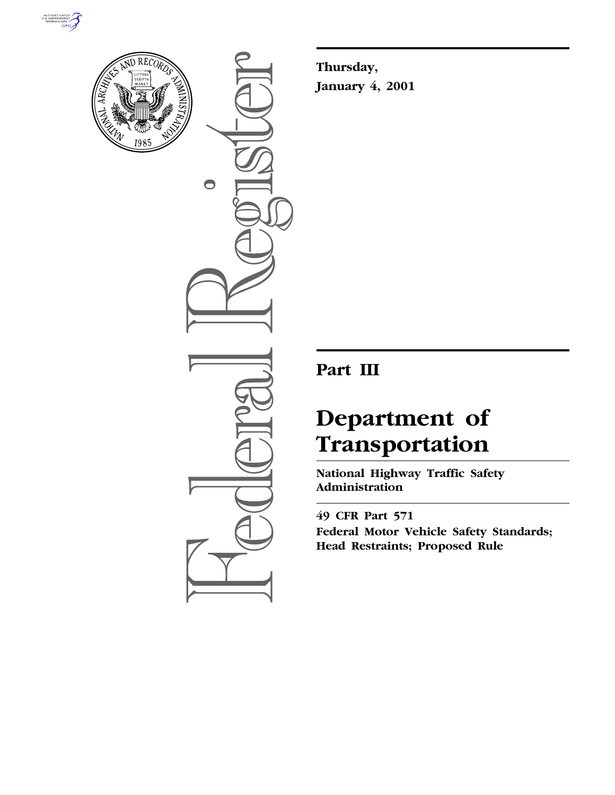



 $\bigcirc$ 

**Thursday, January 4, 2001**

# **Part III**

# **Department of Transportation**

**National Highway Traffic Safety Administration**

**49 CFR Part 571 Federal Motor Vehicle Safety Standards; Head Restraints; Proposed Rule**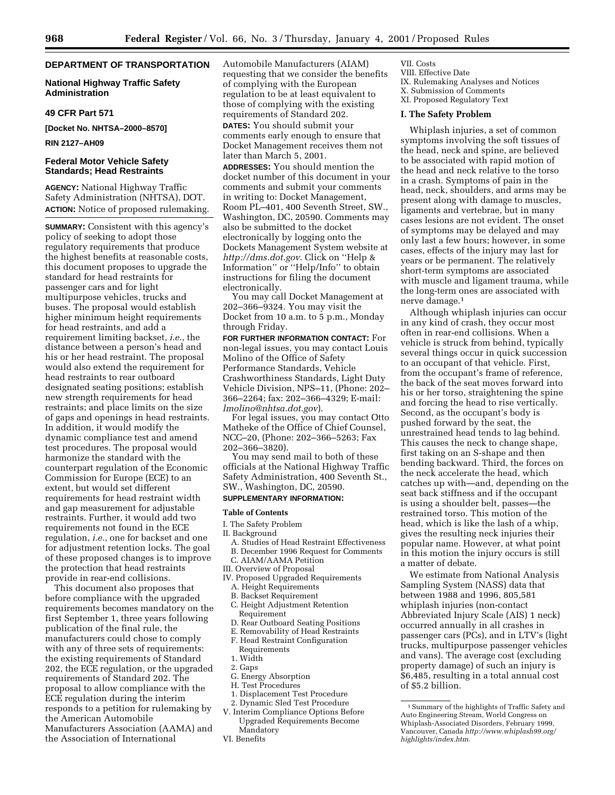# **DEPARTMENT OF TRANSPORTATION**

# **National Highway Traffic Safety Administration**

#### **49 CFR Part 571**

**[Docket No. NHTSA–2000–8570]**

#### **RIN 2127–AH09**

# **Federal Motor Vehicle Safety Standards; Head Restraints**

**AGENCY:** National Highway Traffic Safety Administration (NHTSA), DOT. **ACTION:** Notice of proposed rulemaking.

**SUMMARY:** Consistent with this agency's policy of seeking to adopt those regulatory requirements that produce the highest benefits at reasonable costs, this document proposes to upgrade the standard for head restraints for passenger cars and for light multipurpose vehicles, trucks and buses. The proposal would establish higher minimum height requirements for head restraints, and add a requirement limiting backset, *i.e.*, the distance between a person's head and his or her head restraint. The proposal would also extend the requirement for head restraints to rear outboard designated seating positions; establish new strength requirements for head restraints; and place limits on the size of gaps and openings in head restraints. In addition, it would modify the dynamic compliance test and amend test procedures. The proposal would harmonize the standard with the counterpart regulation of the Economic Commission for Europe (ECE) to an extent, but would set different requirements for head restraint width and gap measurement for adjustable restraints. Further, it would add two requirements not found in the ECE regulation, *i.e.*, one for backset and one for adjustment retention locks. The goal of these proposed changes is to improve the protection that head restraints provide in rear-end collisions.

This document also proposes that before compliance with the upgraded requirements becomes mandatory on the first September 1, three years following publication of the final rule, the manufacturers could chose to comply with any of three sets of requirements: the existing requirements of Standard 202, the ECE regulation, or the upgraded requirements of Standard 202. The proposal to allow compliance with the ECE regulation during the interim responds to a petition for rulemaking by the American Automobile Manufacturers Association (AAMA) and the Association of International

Automobile Manufacturers (AIAM) requesting that we consider the benefits of complying with the European regulation to be at least equivalent to those of complying with the existing requirements of Standard 202. **DATES:** You should submit your

comments early enough to ensure that Docket Management receives them not later than March 5, 2001.

**ADDRESSES:** You should mention the docket number of this document in your comments and submit your comments in writing to: Docket Management, Room PL–401, 400 Seventh Street, SW., Washington, DC, 20590. Comments may also be submitted to the docket electronically by logging onto the Dockets Management System website at *http://dms.dot.gov*. Click on ''Help & Information'' or ''Help/Info'' to obtain instructions for filing the document electronically.

You may call Docket Management at 202–366–9324. You may visit the Docket from 10 a.m. to 5 p.m., Monday through Friday.

**FOR FURTHER INFORMATION CONTACT:** For non-legal issues, you may contact Louis Molino of the Office of Safety Performance Standards, Vehicle Crashworthiness Standards, Light Duty Vehicle Division, NPS–11, (Phone: 202– 366–2264; fax: 202–366–4329; E-mail: *lmolino@nhtsa.dot.gov*).

For legal issues, you may contact Otto Matheke of the Office of Chief Counsel, NCC–20, (Phone: 202–366–5263; Fax 202–366–3820).

You may send mail to both of these officials at the National Highway Traffic Safety Administration, 400 Seventh St., SW., Washington, DC, 20590.

# **SUPPLEMENTARY INFORMATION:**

# **Table of Contents**

- I. The Safety Problem
- II. Background
- A. Studies of Head Restraint Effectiveness B. December 1996 Request for Comments
- C. AIAM/AAMA Petition
- III. Overview of Proposal
- IV. Proposed Upgraded Requirements
	- A. Height Requirements
	- B. Backset Requirement
	- C. Height Adjustment Retention Requirement
	- D. Rear Outboard Seating Positions
- E. Removability of Head Restraints
- F. Head Restraint Configuration
- Requirements
- 1. Width
- 2. Gaps
- G. Energy Absorption
- H. Test Procedures
- 1. Displacement Test Procedure
- 2. Dynamic Sled Test Procedure
- V. Interim Compliance Options Before Upgraded Requirements Become Mandatory
- VI. Benefits

VII. Costs

- VIII. Effective Date IX. Rulemaking Analyses and Notices
- X. Submission of Comments
- XI. Proposed Regulatory Text

# **I. The Safety Problem**

Whiplash injuries, a set of common symptoms involving the soft tissues of the head, neck and spine, are believed to be associated with rapid motion of the head and neck relative to the torso in a crash. Symptoms of pain in the head, neck, shoulders, and arms may be present along with damage to muscles, ligaments and vertebrae, but in many cases lesions are not evident. The onset of symptoms may be delayed and may only last a few hours; however, in some cases, effects of the injury may last for years or be permanent. The relatively short-term symptoms are associated with muscle and ligament trauma, while the long-term ones are associated with nerve damage.1

Although whiplash injuries can occur in any kind of crash, they occur most often in rear-end collisions. When a vehicle is struck from behind, typically several things occur in quick succession to an occupant of that vehicle. First, from the occupant's frame of reference, the back of the seat moves forward into his or her torso, straightening the spine and forcing the head to rise vertically. Second, as the occupant's body is pushed forward by the seat, the unrestrained head tends to lag behind. This causes the neck to change shape, first taking on an S-shape and then bending backward. Third, the forces on the neck accelerate the head, which catches up with—and, depending on the seat back stiffness and if the occupant is using a shoulder belt, passes—the restrained torso. This motion of the head, which is like the lash of a whip, gives the resulting neck injuries their popular name. However, at what point in this motion the injury occurs is still a matter of debate.

We estimate from National Analysis Sampling System (NASS) data that between 1988 and 1996, 805,581 whiplash injuries (non-contact Abbreviated Injury Scale (AIS) 1 neck) occurred annually in all crashes in passenger cars (PCs), and in LTV's (light trucks, multipurpose passenger vehicles and vans). The average cost (excluding property damage) of such an injury is \$6,485, resulting in a total annual cost of \$5.2 billion.

<sup>1</sup>Summary of the highlights of Traffic Safety and Auto Engineering Stream, World Congress on Whiplash-Associated Disorders, February 1999, Vancouver, Canada *http://www.whiplash99.org/ highlights/index.htm*.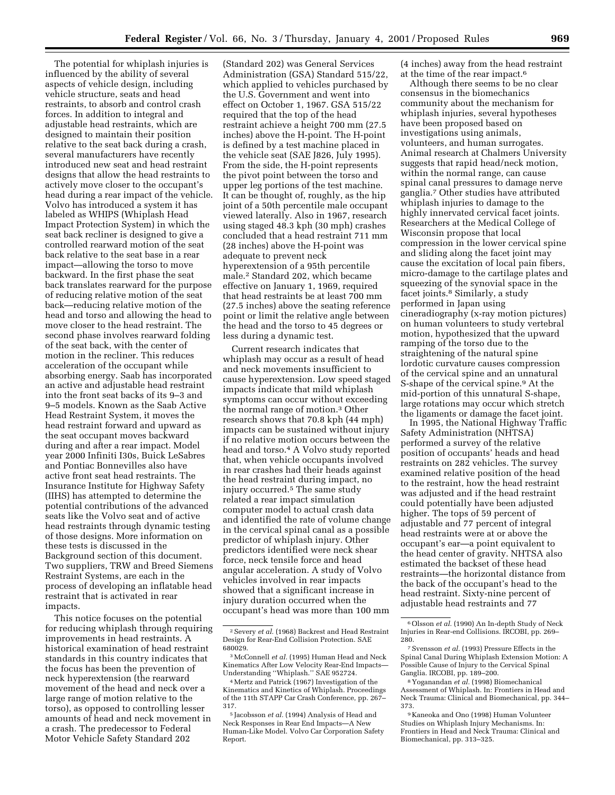The potential for whiplash injuries is influenced by the ability of several aspects of vehicle design, including vehicle structure, seats and head restraints, to absorb and control crash forces. In addition to integral and adjustable head restraints, which are designed to maintain their position relative to the seat back during a crash, several manufacturers have recently introduced new seat and head restraint designs that allow the head restraints to actively move closer to the occupant's head during a rear impact of the vehicle. Volvo has introduced a system it has labeled as WHIPS (Whiplash Head Impact Protection System) in which the seat back recliner is designed to give a controlled rearward motion of the seat back relative to the seat base in a rear impact—allowing the torso to move backward. In the first phase the seat back translates rearward for the purpose of reducing relative motion of the seat back—reducing relative motion of the head and torso and allowing the head to move closer to the head restraint. The second phase involves rearward folding of the seat back, with the center of motion in the recliner. This reduces acceleration of the occupant while absorbing energy. Saab has incorporated an active and adjustable head restraint into the front seat backs of its 9–3 and 9–5 models. Known as the Saab Active Head Restraint System, it moves the head restraint forward and upward as the seat occupant moves backward during and after a rear impact. Model year 2000 Infiniti I30s, Buick LeSabres and Pontiac Bonnevilles also have active front seat head restraints. The Insurance Institute for Highway Safety (IIHS) has attempted to determine the potential contributions of the advanced seats like the Volvo seat and of active head restraints through dynamic testing of those designs. More information on these tests is discussed in the Background section of this document. Two suppliers, TRW and Breed Siemens Restraint Systems, are each in the process of developing an inflatable head restraint that is activated in rear impacts.

This notice focuses on the potential for reducing whiplash through requiring improvements in head restraints. A historical examination of head restraint standards in this country indicates that the focus has been the prevention of neck hyperextension (the rearward movement of the head and neck over a large range of motion relative to the torso), as opposed to controlling lesser amounts of head and neck movement in a crash. The predecessor to Federal Motor Vehicle Safety Standard 202

(Standard 202) was General Services Administration (GSA) Standard 515/22, which applied to vehicles purchased by the U.S. Government and went into effect on October 1, 1967. GSA 515/22 required that the top of the head restraint achieve a height 700 mm (27.5 inches) above the H-point. The H-point is defined by a test machine placed in the vehicle seat (SAE J826, July 1995). From the side, the H-point represents the pivot point between the torso and upper leg portions of the test machine. It can be thought of, roughly, as the hip joint of a 50th percentile male occupant viewed laterally. Also in 1967, research using staged 48.3 kph (30 mph) crashes concluded that a head restraint 711 mm (28 inches) above the H-point was adequate to prevent neck hyperextension of a 95th percentile male.2 Standard 202, which became effective on January 1, 1969, required that head restraints be at least 700 mm (27.5 inches) above the seating reference point or limit the relative angle between the head and the torso to 45 degrees or less during a dynamic test.

Current research indicates that whiplash may occur as a result of head and neck movements insufficient to cause hyperextension. Low speed staged impacts indicate that mild whiplash symptoms can occur without exceeding the normal range of motion.3 Other research shows that 70.8 kph (44 mph) impacts can be sustained without injury if no relative motion occurs between the head and torso.<sup>4</sup> A Volvo study reported that, when vehicle occupants involved in rear crashes had their heads against the head restraint during impact, no injury occurred.5 The same study related a rear impact simulation computer model to actual crash data and identified the rate of volume change in the cervical spinal canal as a possible predictor of whiplash injury. Other predictors identified were neck shear force, neck tensile force and head angular acceleration. A study of Volvo vehicles involved in rear impacts showed that a significant increase in injury duration occurred when the occupant's head was more than 100 mm

(4 inches) away from the head restraint at the time of the rear impact.6

Although there seems to be no clear consensus in the biomechanics community about the mechanism for whiplash injuries, several hypotheses have been proposed based on investigations using animals, volunteers, and human surrogates. Animal research at Chalmers University suggests that rapid head/neck motion, within the normal range, can cause spinal canal pressures to damage nerve ganglia.7 Other studies have attributed whiplash injuries to damage to the highly innervated cervical facet joints. Researchers at the Medical College of Wisconsin propose that local compression in the lower cervical spine and sliding along the facet joint may cause the excitation of local pain fibers, micro-damage to the cartilage plates and squeezing of the synovial space in the facet joints.8 Similarly, a study performed in Japan using cineradiography (x-ray motion pictures) on human volunteers to study vertebral motion, hypothesized that the upward ramping of the torso due to the straightening of the natural spine lordotic curvature causes compression of the cervical spine and an unnatural S-shape of the cervical spine.9 At the mid-portion of this unnatural S-shape, large rotations may occur which stretch the ligaments or damage the facet joint.

In 1995, the National Highway Traffic Safety Administration (NHTSA) performed a survey of the relative position of occupants' heads and head restraints on 282 vehicles. The survey examined relative position of the head to the restraint, how the head restraint was adjusted and if the head restraint could potentially have been adjusted higher. The tops of 59 percent of adjustable and 77 percent of integral head restraints were at or above the occupant's ear—a point equivalent to the head center of gravity. NHTSA also estimated the backset of these head restraints—the horizontal distance from the back of the occupant's head to the head restraint. Sixty-nine percent of adjustable head restraints and 77

<sup>2</sup>Severy *et al.* (1968) Backrest and Head Restraint Design for Rear-End Collision Protection. SAE 680029.

<sup>&</sup>lt;sup>3</sup> McConnell *et al.* (1995) Human Head and Neck Kinematics After Low Velocity Rear-End Impacts— Understanding ''Whiplash.'' SAE 952724.

<sup>4</sup>Mertz and Patrick (1967) Investigation of the Kinematics and Kinetics of Whiplash. Proceedings of the 11th STAPP Car Crash Conference, pp. 267– 317.

<sup>5</sup> Jacobsson *et al.* (1994) Analysis of Head and Neck Responses in Rear End Impacts—A New Human-Like Model. Volvo Car Corporation Safety Report.

<sup>6</sup>Olsson *et al.* (1990) An In-depth Study of Neck Injuries in Rear-end Collisions. IRCOBI, pp. 269– 280.

<sup>7</sup>Svensson *et al.* (1993) Pressure Effects in the Spinal Canal During Whiplash Extension Motion: A Possible Cause of Injury to the Cervical Spinal Ganglia. IRCOBI, pp. 189–200.

<sup>8</sup> Yoganandan *et al.* (1998) Biomechanical Assessment of Whiplash. In: Frontiers in Head and Neck Trauma: Clinical and Biomechanical, pp. 344– 373.

<sup>9</sup> Kaneoka and Ono (1998) Human Volunteer Studies on Whiplash Injury Mechanisms. In: Frontiers in Head and Neck Trauma: Clinical and Biomechanical, pp. 313–325.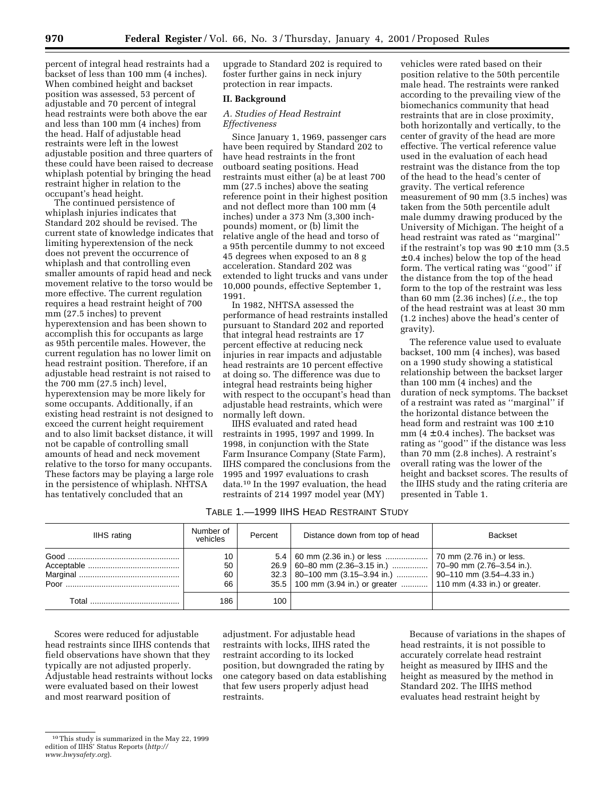percent of integral head restraints had a backset of less than 100 mm (4 inches). When combined height and backset position was assessed, 53 percent of adjustable and 70 percent of integral head restraints were both above the ear and less than 100 mm (4 inches) from the head. Half of adjustable head restraints were left in the lowest adjustable position and three quarters of these could have been raised to decrease whiplash potential by bringing the head restraint higher in relation to the occupant's head height.

The continued persistence of whiplash injuries indicates that Standard 202 should be revised. The current state of knowledge indicates that limiting hyperextension of the neck does not prevent the occurrence of whiplash and that controlling even smaller amounts of rapid head and neck movement relative to the torso would be more effective. The current regulation requires a head restraint height of 700 mm (27.5 inches) to prevent hyperextension and has been shown to accomplish this for occupants as large as 95th percentile males. However, the current regulation has no lower limit on head restraint position. Therefore, if an adjustable head restraint is not raised to the 700 mm (27.5 inch) level, hyperextension may be more likely for some occupants. Additionally, if an existing head restraint is not designed to exceed the current height requirement and to also limit backset distance, it will not be capable of controlling small amounts of head and neck movement relative to the torso for many occupants. These factors may be playing a large role in the persistence of whiplash. NHTSA has tentatively concluded that an

upgrade to Standard 202 is required to foster further gains in neck injury protection in rear impacts.

# **II. Background**

# *A. Studies of Head Restraint Effectiveness*

Since January 1, 1969, passenger cars have been required by Standard 202 to have head restraints in the front outboard seating positions. Head restraints must either (a) be at least 700 mm (27.5 inches) above the seating reference point in their highest position and not deflect more than 100 mm (4 inches) under a 373 Nm (3,300 inchpounds) moment, or (b) limit the relative angle of the head and torso of a 95th percentile dummy to not exceed 45 degrees when exposed to an 8 g acceleration. Standard 202 was extended to light trucks and vans under 10,000 pounds, effective September 1, 1991.

In 1982, NHTSA assessed the performance of head restraints installed pursuant to Standard 202 and reported that integral head restraints are 17 percent effective at reducing neck injuries in rear impacts and adjustable head restraints are 10 percent effective at doing so. The difference was due to integral head restraints being higher with respect to the occupant's head than adjustable head restraints, which were normally left down.

IIHS evaluated and rated head restraints in 1995, 1997 and 1999. In 1998, in conjunction with the State Farm Insurance Company (State Farm), IIHS compared the conclusions from the 1995 and 1997 evaluations to crash data.10 In the 1997 evaluation, the head restraints of 214 1997 model year (MY)

vehicles were rated based on their position relative to the 50th percentile male head. The restraints were ranked according to the prevailing view of the biomechanics community that head restraints that are in close proximity, both horizontally and vertically, to the center of gravity of the head are more effective. The vertical reference value used in the evaluation of each head restraint was the distance from the top of the head to the head's center of gravity. The vertical reference measurement of 90 mm (3.5 inches) was taken from the 50th percentile adult male dummy drawing produced by the University of Michigan. The height of a head restraint was rated as ''marginal'' if the restraint's top was  $90 \pm 10$  mm (3.5) ± 0.4 inches) below the top of the head form. The vertical rating was ''good'' if the distance from the top of the head form to the top of the restraint was less than 60 mm (2.36 inches) (*i.e.,* the top of the head restraint was at least 30 mm (1.2 inches) above the head's center of gravity).

The reference value used to evaluate backset, 100 mm (4 inches), was based on a 1990 study showing a statistical relationship between the backset larger than 100 mm (4 inches) and the duration of neck symptoms. The backset of a restraint was rated as ''marginal'' if the horizontal distance between the head form and restraint was  $100 \pm 10$ mm ( $4 \pm 0.4$  inches). The backset was rating as ''good'' if the distance was less than 70 mm (2.8 inches). A restraint's overall rating was the lower of the height and backset scores. The results of the IIHS study and the rating criteria are presented in Table 1.

| TABLE 1.—1999 IIHS HEAD RESTRAINT STUDY |  |  |  |
|-----------------------------------------|--|--|--|
|-----------------------------------------|--|--|--|

| IIHS rating | Number of<br>vehicles | Percent | Distance down from top of head                                                                                                                                                                         | Backset |
|-------------|-----------------------|---------|--------------------------------------------------------------------------------------------------------------------------------------------------------------------------------------------------------|---------|
|             | 10<br>50<br>60<br>66  |         | 5.4   60 mm (2.36 in.) or less    70 mm (2.76 in.) or less.<br>$32.3$   80–100 mm (3.15–3.94 in.)    90–110 mm (3.54–4.33 in.)<br>35.5   100 mm (3.94 in.) or greater    110 mm (4.33 in.) or greater. |         |
| Total       | 186                   | 100     |                                                                                                                                                                                                        |         |

Scores were reduced for adjustable head restraints since IIHS contends that field observations have shown that they typically are not adjusted properly. Adjustable head restraints without locks were evaluated based on their lowest and most rearward position of

adjustment. For adjustable head restraints with locks, IIHS rated the restraint according to its locked position, but downgraded the rating by one category based on data establishing that few users properly adjust head restraints.

Because of variations in the shapes of head restraints, it is not possible to accurately correlate head restraint height as measured by IIHS and the height as measured by the method in Standard 202. The IIHS method evaluates head restraint height by

<sup>10</sup>This study is summarized in the May 22, 1999 edition of IIHS' Status Reports (*http:// www.hwysafety.org*).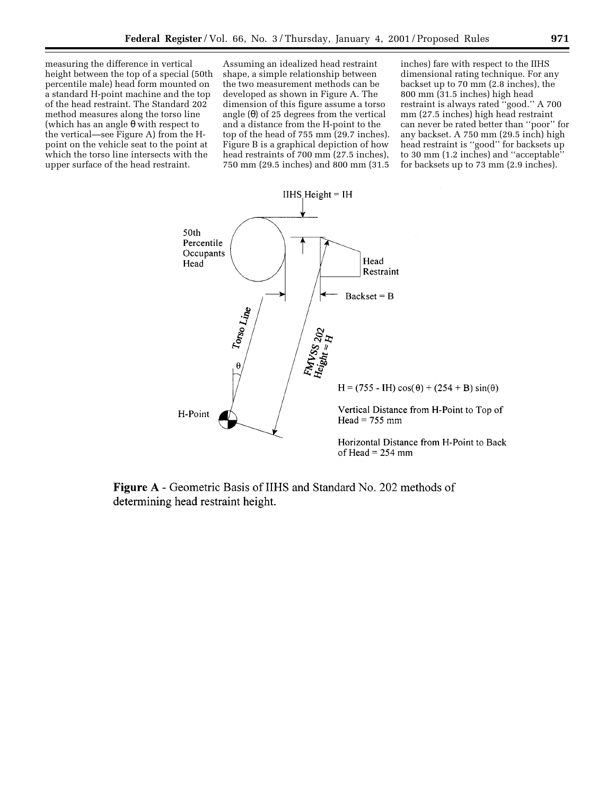measuring the difference in vertical height between the top of a special (50th percentile male) head form mounted on a standard H-point machine and the top of the head restraint. The Standard 202 method measures along the torso line (which has an angle  $\theta$  with respect to the vertical—see Figure A) from the Hpoint on the vehicle seat to the point at which the torso line intersects with the upper surface of the head restraint.

Assuming an idealized head restraint shape, a simple relationship between the two measurement methods can be developed as shown in Figure A. The dimension of this figure assume a torso angle  $(θ)$  of 25 degrees from the vertical and a distance from the H-point to the top of the head of 755 mm (29.7 inches). Figure B is a graphical depiction of how head restraints of 700 mm (27.5 inches), 750 mm (29.5 inches) and 800 mm (31.5 inches) fare with respect to the IIHS dimensional rating technique. For any backset up to 70 mm (2.8 inches), the 800 mm (31.5 inches) high head restraint is always rated ''good.'' A 700 mm (27.5 inches) high head restraint can never be rated better than ''poor'' for any backset. A 750 mm (29.5 inch) high head restraint is ''good'' for backsets up to 30 mm (1.2 inches) and ''acceptable'' for backsets up to 73 mm (2.9 inches).



**Figure A** - Geometric Basis of IIHS and Standard No. 202 methods of determining head restraint height.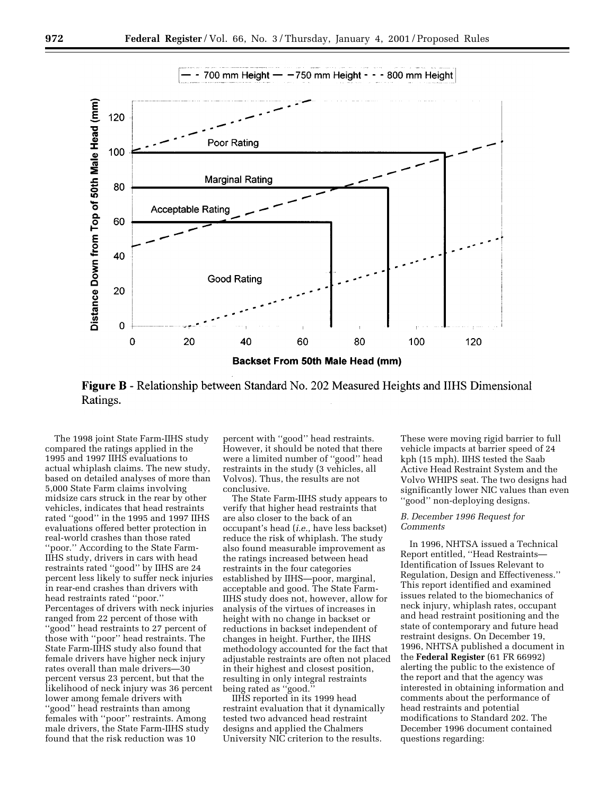

**Figure B** - Relationship between Standard No. 202 Measured Heights and IIHS Dimensional Ratings.

The 1998 joint State Farm-IIHS study compared the ratings applied in the 1995 and 1997 IIHS evaluations to actual whiplash claims. The new study, based on detailed analyses of more than 5,000 State Farm claims involving midsize cars struck in the rear by other vehicles, indicates that head restraints rated ''good'' in the 1995 and 1997 IIHS evaluations offered better protection in real-world crashes than those rated ''poor.'' According to the State Farm-IIHS study, drivers in cars with head restraints rated ''good'' by IIHS are 24 percent less likely to suffer neck injuries in rear-end crashes than drivers with head restraints rated ''poor.'' Percentages of drivers with neck injuries ranged from 22 percent of those with "good" head restraints to 27 percent of those with ''poor'' head restraints. The State Farm-IIHS study also found that female drivers have higher neck injury rates overall than male drivers—30 percent versus 23 percent, but that the likelihood of neck injury was 36 percent lower among female drivers with ''good'' head restraints than among females with ''poor'' restraints. Among male drivers, the State Farm-IIHS study found that the risk reduction was 10

percent with ''good'' head restraints. However, it should be noted that there were a limited number of ''good'' head restraints in the study (3 vehicles, all Volvos). Thus, the results are not conclusive.

The State Farm-IIHS study appears to verify that higher head restraints that are also closer to the back of an occupant's head (*i.e.,* have less backset) reduce the risk of whiplash. The study also found measurable improvement as the ratings increased between head restraints in the four categories established by IIHS—poor, marginal, acceptable and good. The State Farm-IIHS study does not, however, allow for analysis of the virtues of increases in height with no change in backset or reductions in backset independent of changes in height. Further, the IIHS methodology accounted for the fact that adjustable restraints are often not placed in their highest and closest position, resulting in only integral restraints being rated as "good."

IIHS reported in its 1999 head restraint evaluation that it dynamically tested two advanced head restraint designs and applied the Chalmers University NIC criterion to the results.

These were moving rigid barrier to full vehicle impacts at barrier speed of 24 kph (15 mph). IIHS tested the Saab Active Head Restraint System and the Volvo WHIPS seat. The two designs had significantly lower NIC values than even ''good'' non-deploying designs.

## *B. December 1996 Request for Comments*

In 1996, NHTSA issued a Technical Report entitled, ''Head Restraints— Identification of Issues Relevant to Regulation, Design and Effectiveness.'' This report identified and examined issues related to the biomechanics of neck injury, whiplash rates, occupant and head restraint positioning and the state of contemporary and future head restraint designs. On December 19, 1996, NHTSA published a document in the **Federal Register** (61 FR 66992) alerting the public to the existence of the report and that the agency was interested in obtaining information and comments about the performance of head restraints and potential modifications to Standard 202. The December 1996 document contained questions regarding: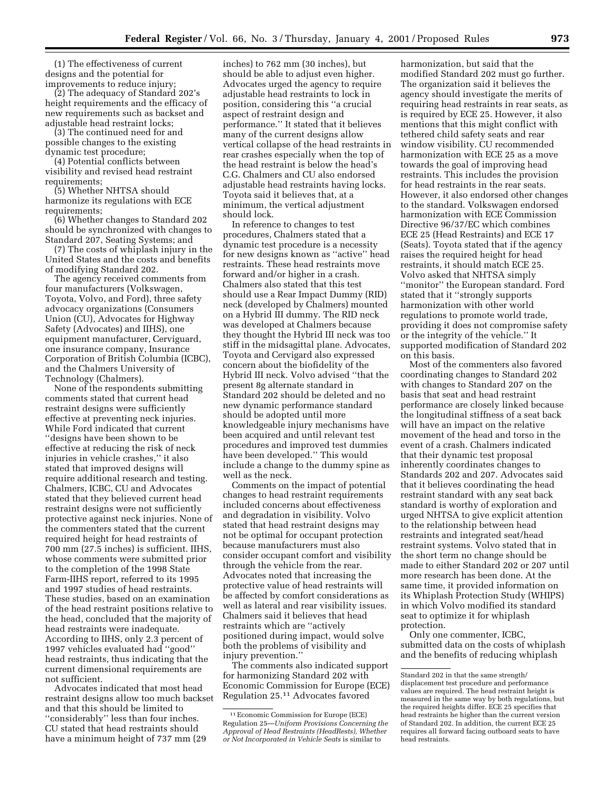(1) The effectiveness of current designs and the potential for improvements to reduce injury;

(2) The adequacy of Standard 202's height requirements and the efficacy of new requirements such as backset and adjustable head restraint locks;

(3) The continued need for and possible changes to the existing dynamic test procedure;

(4) Potential conflicts between visibility and revised head restraint requirements;

(5) Whether NHTSA should harmonize its regulations with ECE requirements;

(6) Whether changes to Standard 202 should be synchronized with changes to Standard 207, Seating Systems; and

(7) The costs of whiplash injury in the United States and the costs and benefits of modifying Standard 202.

The agency received comments from four manufacturers (Volkswagen, Toyota, Volvo, and Ford), three safety advocacy organizations (Consumers Union (CU), Advocates for Highway Safety (Advocates) and IIHS), one equipment manufacturer, Cerviguard, one insurance company, Insurance Corporation of British Columbia (ICBC), and the Chalmers University of Technology (Chalmers).

None of the respondents submitting comments stated that current head restraint designs were sufficiently effective at preventing neck injuries. While Ford indicated that current ''designs have been shown to be effective at reducing the risk of neck injuries in vehicle crashes,'' it also stated that improved designs will require additional research and testing. Chalmers, ICBC, CU and Advocates stated that they believed current head restraint designs were not sufficiently protective against neck injuries. None of the commenters stated that the current required height for head restraints of 700 mm (27.5 inches) is sufficient. IIHS, whose comments were submitted prior to the completion of the 1998 State Farm-IIHS report, referred to its 1995 and 1997 studies of head restraints. These studies, based on an examination of the head restraint positions relative to the head, concluded that the majority of head restraints were inadequate. According to IIHS, only 2.3 percent of 1997 vehicles evaluated had ''good'' head restraints, thus indicating that the current dimensional requirements are not sufficient.

Advocates indicated that most head restraint designs allow too much backset and that this should be limited to ''considerably'' less than four inches. CU stated that head restraints should have a minimum height of 737 mm (29

inches) to 762 mm (30 inches), but should be able to adjust even higher. Advocates urged the agency to require adjustable head restraints to lock in position, considering this ''a crucial aspect of restraint design and performance.'' It stated that it believes many of the current designs allow vertical collapse of the head restraints in rear crashes especially when the top of the head restraint is below the head's C.G. Chalmers and CU also endorsed adjustable head restraints having locks. Toyota said it believes that, at a minimum, the vertical adjustment should lock.

In reference to changes to test procedures, Chalmers stated that a dynamic test procedure is a necessity for new designs known as ''active'' head restraints. These head restraints move forward and/or higher in a crash. Chalmers also stated that this test should use a Rear Impact Dummy (RID) neck (developed by Chalmers) mounted on a Hybrid III dummy. The RID neck was developed at Chalmers because they thought the Hybrid III neck was too stiff in the midsagittal plane. Advocates, Toyota and Cervigard also expressed concern about the biofidelity of the Hybrid III neck. Volvo advised ''that the present 8g alternate standard in Standard 202 should be deleted and no new dynamic performance standard should be adopted until more knowledgeable injury mechanisms have been acquired and until relevant test procedures and improved test dummies have been developed.'' This would include a change to the dummy spine as well as the neck.

Comments on the impact of potential changes to head restraint requirements included concerns about effectiveness and degradation in visibility. Volvo stated that head restraint designs may not be optimal for occupant protection because manufacturers must also consider occupant comfort and visibility through the vehicle from the rear. Advocates noted that increasing the protective value of head restraints will be affected by comfort considerations as well as lateral and rear visibility issues. Chalmers said it believes that head restraints which are ''actively positioned during impact, would solve both the problems of visibility and injury prevention.''

The comments also indicated support for harmonizing Standard 202 with Economic Commission for Europe (ECE) Regulation 25.11 Advocates favored

harmonization, but said that the modified Standard 202 must go further. The organization said it believes the agency should investigate the merits of requiring head restraints in rear seats, as is required by ECE 25. However, it also mentions that this might conflict with tethered child safety seats and rear window visibility. CU recommended harmonization with ECE 25 as a move towards the goal of improving head restraints. This includes the provision for head restraints in the rear seats. However, it also endorsed other changes to the standard. Volkswagen endorsed harmonization with ECE Commission Directive 96/37/EC which combines ECE 25 (Head Restraints) and ECE 17 (Seats). Toyota stated that if the agency raises the required height for head restraints, it should match ECE 25. Volvo asked that NHTSA simply ''monitor'' the European standard. Ford stated that it ''strongly supports harmonization with other world regulations to promote world trade, providing it does not compromise safety or the integrity of the vehicle.'' It supported modification of Standard 202 on this basis.

Most of the commenters also favored coordinating changes to Standard 202 with changes to Standard 207 on the basis that seat and head restraint performance are closely linked because the longitudinal stiffness of a seat back will have an impact on the relative movement of the head and torso in the event of a crash. Chalmers indicated that their dynamic test proposal inherently coordinates changes to Standards 202 and 207. Advocates said that it believes coordinating the head restraint standard with any seat back standard is worthy of exploration and urged NHTSA to give explicit attention to the relationship between head restraints and integrated seat/head restraint systems. Volvo stated that in the short term no change should be made to either Standard 202 or 207 until more research has been done. At the same time, it provided information on its Whiplash Protection Study (WHIPS) in which Volvo modified its standard seat to optimize it for whiplash protection.

Only one commenter, ICBC, submitted data on the costs of whiplash and the benefits of reducing whiplash

<sup>11</sup>Economic Commission for Europe (ECE) Regulation 25—*Uniform Provisions Concerning the Approval of Head Restraints (HeadRests), Whether or Not Incorporated in Vehicle Seats* is similar to

Standard 202 in that the same strength/ displacement test procedure and performance values are required. The head restraint height is measured in the same way by both regulations, but the required heights differ. ECE 25 specifies that head restraints he higher than the current version of Standard 202. In addition, the current ECE 25 requires all forward facing outboard seats to have head restraints.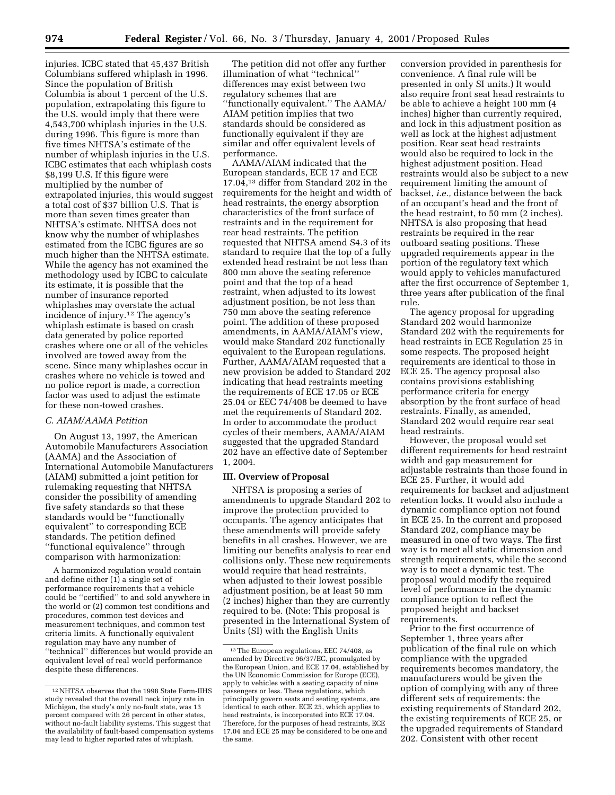injuries. ICBC stated that 45,437 British Columbians suffered whiplash in 1996. Since the population of British Columbia is about 1 percent of the U.S. population, extrapolating this figure to the U.S. would imply that there were 4,543,700 whiplash injuries in the U.S. during 1996. This figure is more than five times NHTSA's estimate of the number of whiplash injuries in the U.S. ICBC estimates that each whiplash costs \$8,199 U.S. If this figure were multiplied by the number of extrapolated injuries, this would suggest a total cost of \$37 billion U.S. That is more than seven times greater than NHTSA's estimate. NHTSA does not know why the number of whiplashes estimated from the ICBC figures are so much higher than the NHTSA estimate. While the agency has not examined the methodology used by ICBC to calculate its estimate, it is possible that the number of insurance reported whiplashes may overstate the actual incidence of injury.12 The agency's whiplash estimate is based on crash data generated by police reported crashes where one or all of the vehicles involved are towed away from the scene. Since many whiplashes occur in crashes where no vehicle is towed and no police report is made, a correction factor was used to adjust the estimate for these non-towed crashes.

### *C. AIAM/AAMA Petition*

On August 13, 1997, the American Automobile Manufacturers Association (AAMA) and the Association of International Automobile Manufacturers (AIAM) submitted a joint petition for rulemaking requesting that NHTSA consider the possibility of amending five safety standards so that these standards would be ''functionally equivalent'' to corresponding ECE standards. The petition defined ''functional equivalence'' through comparison with harmonization:

A harmonized regulation would contain and define either (1) a single set of performance requirements that a vehicle could be ''certified'' to and sold anywhere in the world or (2) common test conditions and procedures, common test devices and measurement techniques, and common test criteria limits. A functionally equivalent regulation may have any number of ''technical'' differences but would provide an equivalent level of real world performance despite these differences.

The petition did not offer any further illumination of what ''technical'' differences may exist between two regulatory schemes that are ''functionally equivalent.'' The AAMA/ AIAM petition implies that two standards should be considered as functionally equivalent if they are similar and offer equivalent levels of performance.

AAMA/AIAM indicated that the European standards, ECE 17 and ECE 17.04,13 differ from Standard 202 in the requirements for the height and width of head restraints, the energy absorption characteristics of the front surface of restraints and in the requirement for rear head restraints. The petition requested that NHTSA amend S4.3 of its standard to require that the top of a fully extended head restraint be not less than 800 mm above the seating reference point and that the top of a head restraint, when adjusted to its lowest adjustment position, be not less than 750 mm above the seating reference point. The addition of these proposed amendments, in AAMA/AIAM's view, would make Standard 202 functionally equivalent to the European regulations. Further, AAMA/AIAM requested that a new provision be added to Standard 202 indicating that head restraints meeting the requirements of ECE 17.05 or ECE 25.04 or EEC 74/408 be deemed to have met the requirements of Standard 202. In order to accommodate the product cycles of their members, AAMA/AIAM suggested that the upgraded Standard 202 have an effective date of September 1, 2004.

#### **III. Overview of Proposal**

NHTSA is proposing a series of amendments to upgrade Standard 202 to improve the protection provided to occupants. The agency anticipates that these amendments will provide safety benefits in all crashes. However, we are limiting our benefits analysis to rear end collisions only. These new requirements would require that head restraints, when adjusted to their lowest possible adjustment position, be at least 50 mm (2 inches) higher than they are currently required to be. (Note: This proposal is presented in the International System of Units (SI) with the English Units

conversion provided in parenthesis for convenience. A final rule will be presented in only SI units.) It would also require front seat head restraints to be able to achieve a height 100 mm (4 inches) higher than currently required, and lock in this adjustment position as well as lock at the highest adjustment position. Rear seat head restraints would also be required to lock in the highest adjustment position. Head restraints would also be subject to a new requirement limiting the amount of backset, *i.e.,* distance between the back of an occupant's head and the front of the head restraint, to 50 mm (2 inches). NHTSA is also proposing that head restraints be required in the rear outboard seating positions. These upgraded requirements appear in the portion of the regulatory text which would apply to vehicles manufactured after the first occurrence of September 1, three years after publication of the final rule.

The agency proposal for upgrading Standard 202 would harmonize Standard 202 with the requirements for head restraints in ECE Regulation 25 in some respects. The proposed height requirements are identical to those in ECE 25. The agency proposal also contains provisions establishing performance criteria for energy absorption by the front surface of head restraints. Finally, as amended, Standard 202 would require rear seat head restraints.

However, the proposal would set different requirements for head restraint width and gap measurement for adjustable restraints than those found in ECE 25. Further, it would add requirements for backset and adjustment retention locks. It would also include a dynamic compliance option not found in ECE 25. In the current and proposed Standard 202, compliance may be measured in one of two ways. The first way is to meet all static dimension and strength requirements, while the second way is to meet a dynamic test. The proposal would modify the required level of performance in the dynamic compliance option to reflect the proposed height and backset requirements.

Prior to the first occurrence of September 1, three years after publication of the final rule on which compliance with the upgraded requirements becomes mandatory, the manufacturers would be given the option of complying with any of three different sets of requirements: the existing requirements of Standard 202, the existing requirements of ECE 25, or the upgraded requirements of Standard 202. Consistent with other recent

<sup>12</sup>NHTSA observes that the 1998 State Farm-IIHS study revealed that the overall neck injury rate in Michigan, the study's only no-fault state, was 13 percent compared with 26 percent in other states, without no-fault liability systems. This suggest that the availability of fault-based compensation systems may lead to higher reported rates of whiplash.

<sup>13</sup>The European regulations, EEC 74/408, as amended by Directive 96/37/EC, promulgated by the European Union, and ECE 17.04, established by the UN Economic Commission for Europe (ECE), apply to vehicles with a seating capacity of nine passengers or less. These regulations, which principally govern seats and seating systems, are identical to each other. ECE 25, which applies to head restraints, is incorporated into ECE 17.04. Therefore, for the purposes of head restraints, ECE 17.04 and ECE 25 may be considered to be one and the same.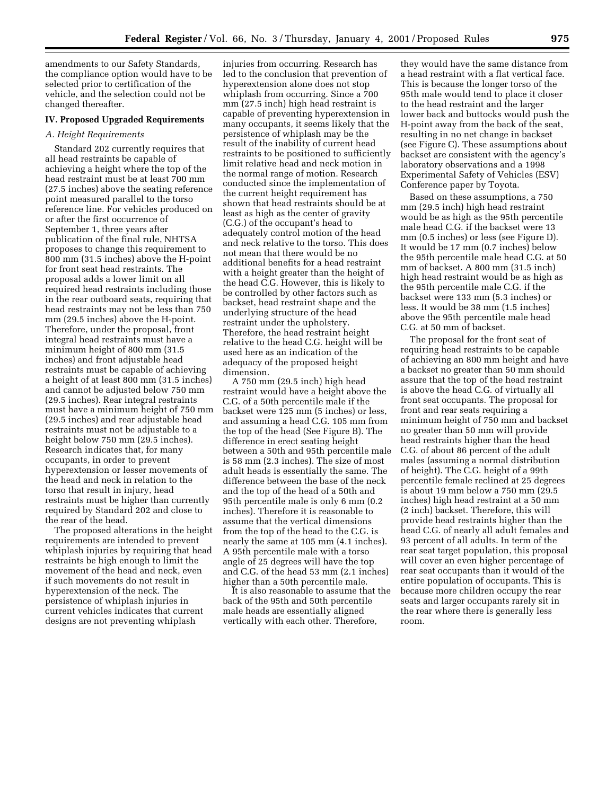amendments to our Safety Standards, the compliance option would have to be selected prior to certification of the vehicle, and the selection could not be changed thereafter.

# **IV. Proposed Upgraded Requirements**

#### *A. Height Requirements*

Standard 202 currently requires that all head restraints be capable of achieving a height where the top of the head restraint must be at least 700 mm (27.5 inches) above the seating reference point measured parallel to the torso reference line. For vehicles produced on or after the first occurrence of September 1, three years after publication of the final rule, NHTSA proposes to change this requirement to 800 mm (31.5 inches) above the H-point for front seat head restraints. The proposal adds a lower limit on all required head restraints including those in the rear outboard seats, requiring that head restraints may not be less than 750 mm (29.5 inches) above the H-point. Therefore, under the proposal, front integral head restraints must have a minimum height of 800 mm (31.5 inches) and front adjustable head restraints must be capable of achieving a height of at least 800 mm (31.5 inches) and cannot be adjusted below 750 mm (29.5 inches). Rear integral restraints must have a minimum height of 750 mm (29.5 inches) and rear adjustable head restraints must not be adjustable to a height below 750 mm (29.5 inches). Research indicates that, for many occupants, in order to prevent hyperextension or lesser movements of the head and neck in relation to the torso that result in injury, head restraints must be higher than currently required by Standard 202 and close to the rear of the head.

The proposed alterations in the height requirements are intended to prevent whiplash injuries by requiring that head restraints be high enough to limit the movement of the head and neck, even if such movements do not result in hyperextension of the neck. The persistence of whiplash injuries in current vehicles indicates that current designs are not preventing whiplash

injuries from occurring. Research has led to the conclusion that prevention of hyperextension alone does not stop whiplash from occurring. Since a 700 mm (27.5 inch) high head restraint is capable of preventing hyperextension in many occupants, it seems likely that the persistence of whiplash may be the result of the inability of current head restraints to be positioned to sufficiently limit relative head and neck motion in the normal range of motion. Research conducted since the implementation of the current height requirement has shown that head restraints should be at least as high as the center of gravity (C.G.) of the occupant's head to adequately control motion of the head and neck relative to the torso. This does not mean that there would be no additional benefits for a head restraint with a height greater than the height of the head C.G. However, this is likely to be controlled by other factors such as backset, head restraint shape and the underlying structure of the head restraint under the upholstery. Therefore, the head restraint height relative to the head C.G. height will be used here as an indication of the adequacy of the proposed height dimension.

A 750 mm (29.5 inch) high head restraint would have a height above the C.G. of a 50th percentile male if the backset were 125 mm (5 inches) or less, and assuming a head C.G. 105 mm from the top of the head (See Figure B). The difference in erect seating height between a 50th and 95th percentile male is 58 mm (2.3 inches). The size of most adult heads is essentially the same. The difference between the base of the neck and the top of the head of a 50th and 95th percentile male is only 6 mm (0.2 inches). Therefore it is reasonable to assume that the vertical dimensions from the top of the head to the C.G. is nearly the same at 105 mm (4.1 inches). A 95th percentile male with a torso angle of 25 degrees will have the top and C.G. of the head 53 mm (2.1 inches) higher than a 50th percentile male.

It is also reasonable to assume that the back of the 95th and 50th percentile male heads are essentially aligned vertically with each other. Therefore,

they would have the same distance from a head restraint with a flat vertical face. This is because the longer torso of the 95th male would tend to place it closer to the head restraint and the larger lower back and buttocks would push the H-point away from the back of the seat, resulting in no net change in backset (see Figure C). These assumptions about backset are consistent with the agency's laboratory observations and a 1998 Experimental Safety of Vehicles (ESV) Conference paper by Toyota.

Based on these assumptions, a 750 mm (29.5 inch) high head restraint would be as high as the 95th percentile male head C.G. if the backset were 13 mm (0.5 inches) or less (see Figure D). It would be 17 mm (0.7 inches) below the 95th percentile male head C.G. at 50 mm of backset. A 800 mm (31.5 inch) high head restraint would be as high as the 95th percentile male C.G. if the backset were 133 mm (5.3 inches) or less. It would be 38 mm (1.5 inches) above the 95th percentile male head C.G. at 50 mm of backset.

The proposal for the front seat of requiring head restraints to be capable of achieving an 800 mm height and have a backset no greater than 50 mm should assure that the top of the head restraint is above the head C.G. of virtually all front seat occupants. The proposal for front and rear seats requiring a minimum height of 750 mm and backset no greater than 50 mm will provide head restraints higher than the head C.G. of about 86 percent of the adult males (assuming a normal distribution of height). The C.G. height of a 99th percentile female reclined at 25 degrees is about 19 mm below a 750 mm (29.5 inches) high head restraint at a 50 mm (2 inch) backset. Therefore, this will provide head restraints higher than the head C.G. of nearly all adult females and 93 percent of all adults. In term of the rear seat target population, this proposal will cover an even higher percentage of rear seat occupants than it would of the entire population of occupants. This is because more children occupy the rear seats and larger occupants rarely sit in the rear where there is generally less room.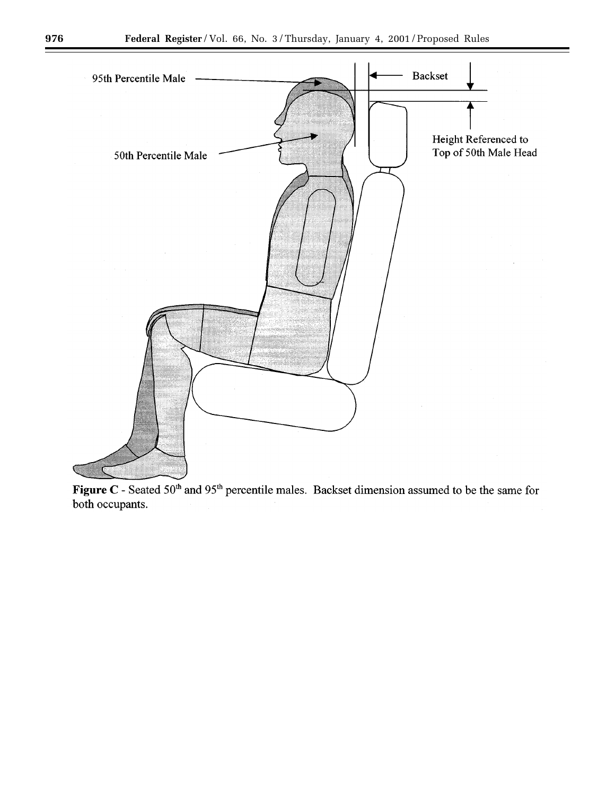

Figure C - Seated 50<sup>th</sup> and 95<sup>th</sup> percentile males. Backset dimension assumed to be the same for both occupants.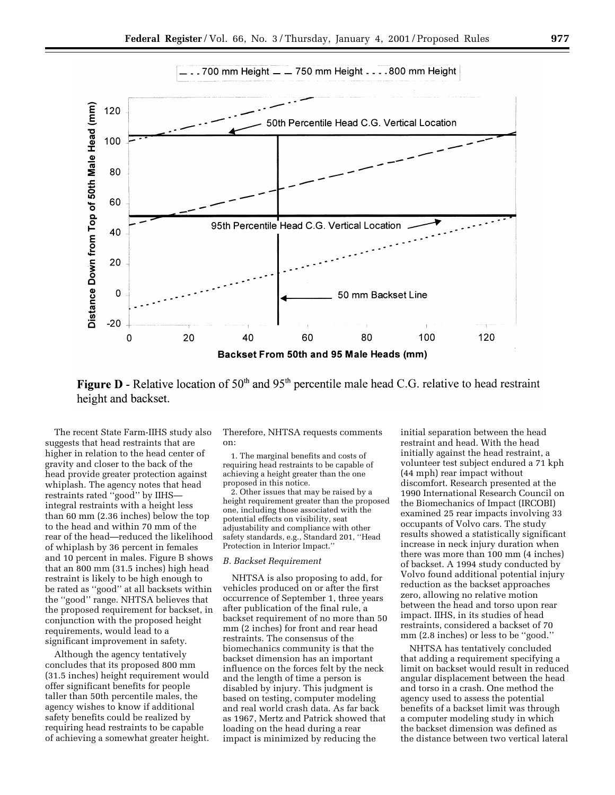

**Figure D** - Relative location of 50<sup>th</sup> and 95<sup>th</sup> percentile male head C.G. relative to head restraint height and backset.

The recent State Farm-IIHS study also suggests that head restraints that are higher in relation to the head center of gravity and closer to the back of the head provide greater protection against whiplash. The agency notes that head restraints rated ''good'' by IIHS integral restraints with a height less than 60 mm (2.36 inches) below the top to the head and within 70 mm of the rear of the head—reduced the likelihood of whiplash by 36 percent in females and 10 percent in males. Figure B shows that an 800 mm (31.5 inches) high head restraint is likely to be high enough to be rated as ''good'' at all backsets within the ''good'' range. NHTSA believes that the proposed requirement for backset, in conjunction with the proposed height requirements, would lead to a significant improvement in safety.

Although the agency tentatively concludes that its proposed 800 mm (31.5 inches) height requirement would offer significant benefits for people taller than 50th percentile males, the agency wishes to know if additional safety benefits could be realized by requiring head restraints to be capable of achieving a somewhat greater height.

Therefore, NHTSA requests comments on:

1. The marginal benefits and costs of requiring head restraints to be capable of achieving a height greater than the one proposed in this notice.

2. Other issues that may be raised by a height requirement greater than the proposed one, including those associated with the potential effects on visibility, seat adjustability and compliance with other safety standards, e.g., Standard 201, ''Head Protection in Interior Impact.''

# *B. Backset Requirement*

NHTSA is also proposing to add, for vehicles produced on or after the first occurrence of September 1, three years after publication of the final rule, a backset requirement of no more than 50 mm (2 inches) for front and rear head restraints. The consensus of the biomechanics community is that the backset dimension has an important influence on the forces felt by the neck and the length of time a person is disabled by injury. This judgment is based on testing, computer modeling and real world crash data. As far back as 1967, Mertz and Patrick showed that loading on the head during a rear impact is minimized by reducing the

initial separation between the head restraint and head. With the head initially against the head restraint, a volunteer test subject endured a 71 kph (44 mph) rear impact without discomfort. Research presented at the 1990 International Research Council on the Biomechanics of Impact (IRCOBI) examined 25 rear impacts involving 33 occupants of Volvo cars. The study results showed a statistically significant increase in neck injury duration when there was more than 100 mm (4 inches) of backset. A 1994 study conducted by Volvo found additional potential injury reduction as the backset approaches zero, allowing no relative motion between the head and torso upon rear impact. IIHS, in its studies of head restraints, considered a backset of 70 mm (2.8 inches) or less to be ''good.''

NHTSA has tentatively concluded that adding a requirement specifying a limit on backset would result in reduced angular displacement between the head and torso in a crash. One method the agency used to assess the potential benefits of a backset limit was through a computer modeling study in which the backset dimension was defined as the distance between two vertical lateral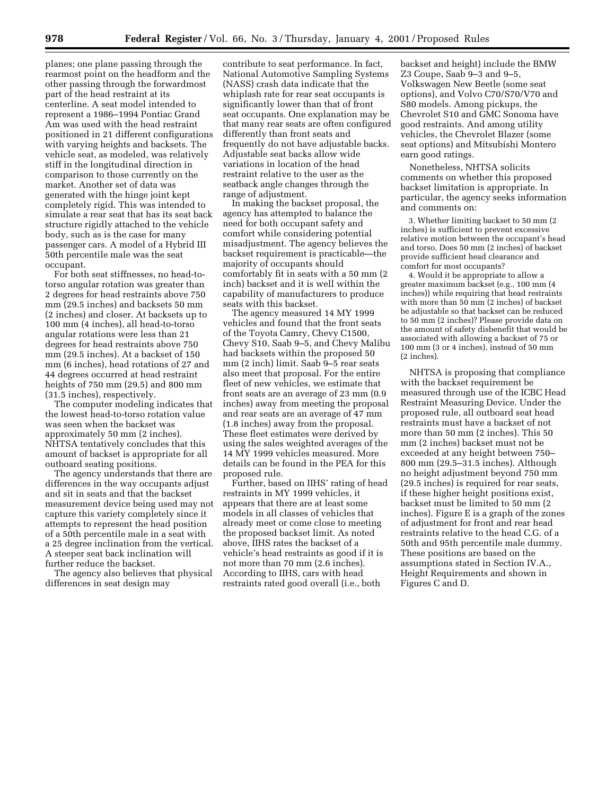planes; one plane passing through the rearmost point on the headform and the other passing through the forwardmost part of the head restraint at its centerline. A seat model intended to represent a 1986–1994 Pontiac Grand Am was used with the head restraint positioned in 21 different configurations with varying heights and backsets. The vehicle seat, as modeled, was relatively stiff in the longitudinal direction in comparison to those currently on the market. Another set of data was generated with the hinge joint kept completely rigid. This was intended to simulate a rear seat that has its seat back structure rigidly attached to the vehicle body, such as is the case for many passenger cars. A model of a Hybrid III 50th percentile male was the seat occupant.

For both seat stiffnesses, no head-totorso angular rotation was greater than 2 degrees for head restraints above 750 mm (29.5 inches) and backsets 50 mm (2 inches) and closer. At backsets up to 100 mm (4 inches), all head-to-torso angular rotations were less than 21 degrees for head restraints above 750 mm (29.5 inches). At a backset of 150 mm (6 inches), head rotations of 27 and 44 degrees occurred at head restraint heights of 750 mm (29.5) and 800 mm (31.5 inches), respectively.

The computer modeling indicates that the lowest head-to-torso rotation value was seen when the backset was approximately 50 mm (2 inches). NHTSA tentatively concludes that this amount of backset is appropriate for all outboard seating positions.

The agency understands that there are differences in the way occupants adjust and sit in seats and that the backset measurement device being used may not capture this variety completely since it attempts to represent the head position of a 50th percentile male in a seat with a 25 degree inclination from the vertical. A steeper seat back inclination will further reduce the backset.

The agency also believes that physical differences in seat design may

contribute to seat performance. In fact, National Automotive Sampling Systems (NASS) crash data indicate that the whiplash rate for rear seat occupants is significantly lower than that of front seat occupants. One explanation may be that many rear seats are often configured differently than front seats and frequently do not have adjustable backs. Adjustable seat backs allow wide variations in location of the head restraint relative to the user as the seatback angle changes through the range of adjustment.

In making the backset proposal, the agency has attempted to balance the need for both occupant safety and comfort while considering potential misadjustment. The agency believes the backset requirement is practicable—the majority of occupants should comfortably fit in seats with a 50 mm (2 inch) backset and it is well within the capability of manufacturers to produce seats with this backset.

The agency measured 14 MY 1999 vehicles and found that the front seats of the Toyota Camry, Chevy C1500, Chevy S10, Saab 9–5, and Chevy Malibu had backsets within the proposed 50 mm (2 inch) limit. Saab 9–5 rear seats also meet that proposal. For the entire fleet of new vehicles, we estimate that front seats are an average of 23 mm (0.9 inches) away from meeting the proposal and rear seats are an average of 47 mm (1.8 inches) away from the proposal. These fleet estimates were derived by using the sales weighted averages of the 14 MY 1999 vehicles measured. More details can be found in the PEA for this proposed rule.

Further, based on IIHS' rating of head restraints in MY 1999 vehicles, it appears that there are at least some models in all classes of vehicles that already meet or come close to meeting the proposed backset limit. As noted above, IIHS rates the backset of a vehicle's head restraints as good if it is not more than 70 mm (2.6 inches). According to IIHS, cars with head restraints rated good overall (i.e., both

backset and height) include the BMW Z3 Coupe, Saab 9–3 and 9–5, Volkswagen New Beetle (some seat options), and Volvo C70/S70/V70 and S80 models. Among pickups, the Chevrolet S10 and GMC Sonoma have good restraints. And among utility vehicles, the Chevrolet Blazer (some seat options) and Mitsubishi Montero earn good ratings.

Nonetheless, NHTSA solicits comments on whether this proposed backset limitation is appropriate. In particular, the agency seeks information and comments on:

3. Whether limiting backset to 50 mm (2 inches) is sufficient to prevent excessive relative motion between the occupant's head and torso. Does 50 mm (2 inches) of backset provide sufficient head clearance and comfort for most occupants?

4. Would it be appropriate to allow a greater maximum backset (e.g., 100 mm (4 inches)) while requiring that head restraints with more than  $50 \text{ mm}$  (2 inches) of backset be adjustable so that backset can be reduced to 50 mm (2 inches)? Please provide data on the amount of safety disbenefit that would be associated with allowing a backset of 75 or 100 mm (3 or 4 inches), instead of 50 mm (2 inches).

NHTSA is proposing that compliance with the backset requirement be measured through use of the ICBC Head Restraint Measuring Device. Under the proposed rule, all outboard seat head restraints must have a backset of not more than 50 mm (2 inches). This 50 mm (2 inches) backset must not be exceeded at any height between 750– 800 mm (29.5–31.5 inches). Although no height adjustment beyond 750 mm (29.5 inches) is required for rear seats, if these higher height positions exist, backset must be limited to 50 mm (2 inches). Figure E is a graph of the zones of adjustment for front and rear head restraints relative to the head C.G. of a 50th and 95th percentile male dummy. These positions are based on the assumptions stated in Section IV.A., Height Requirements and shown in Figures C and D.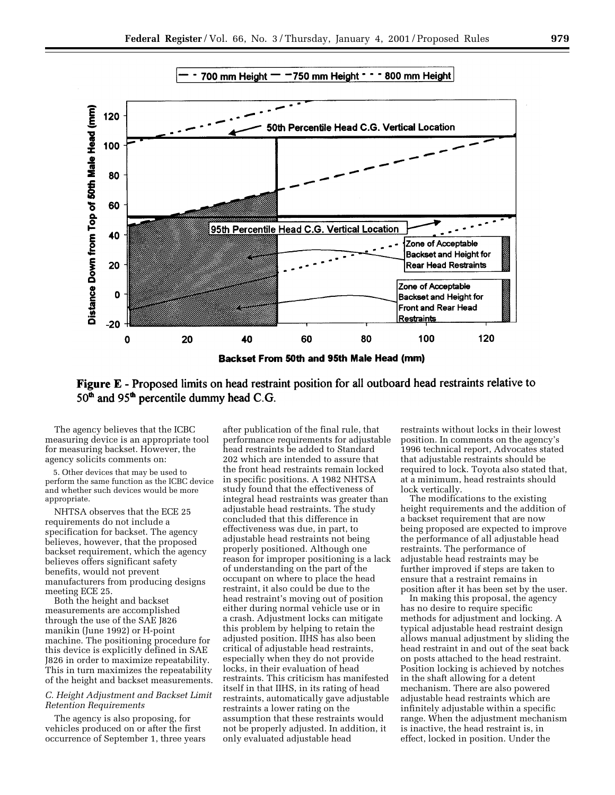

**Figure E** - Proposed limits on head restraint position for all outboard head restraints relative to 50<sup>th</sup> and 95<sup>th</sup> percentile dummy head C.G.

The agency believes that the ICBC measuring device is an appropriate tool for measuring backset. However, the agency solicits comments on:

5. Other devices that may be used to perform the same function as the ICBC device and whether such devices would be more appropriate.

NHTSA observes that the ECE 25 requirements do not include a specification for backset. The agency believes, however, that the proposed backset requirement, which the agency believes offers significant safety benefits, would not prevent manufacturers from producing designs meeting ECE 25.

Both the height and backset measurements are accomplished through the use of the SAE J826 manikin (June 1992) or H-point machine. The positioning procedure for this device is explicitly defined in SAE J826 in order to maximize repeatability. This in turn maximizes the repeatability of the height and backset measurements.

# *C. Height Adjustment and Backset Limit Retention Requirements*

The agency is also proposing, for vehicles produced on or after the first occurrence of September 1, three years

after publication of the final rule, that performance requirements for adjustable head restraints be added to Standard 202 which are intended to assure that the front head restraints remain locked in specific positions. A 1982 NHTSA study found that the effectiveness of integral head restraints was greater than adjustable head restraints. The study concluded that this difference in effectiveness was due, in part, to adjustable head restraints not being properly positioned. Although one reason for improper positioning is a lack of understanding on the part of the occupant on where to place the head restraint, it also could be due to the head restraint's moving out of position either during normal vehicle use or in a crash. Adjustment locks can mitigate this problem by helping to retain the adjusted position. IIHS has also been critical of adjustable head restraints, especially when they do not provide locks, in their evaluation of head restraints. This criticism has manifested itself in that IIHS, in its rating of head restraints, automatically gave adjustable restraints a lower rating on the assumption that these restraints would not be properly adjusted. In addition, it only evaluated adjustable head

restraints without locks in their lowest position. In comments on the agency's 1996 technical report, Advocates stated that adjustable restraints should be required to lock. Toyota also stated that, at a minimum, head restraints should lock vertically.

The modifications to the existing height requirements and the addition of a backset requirement that are now being proposed are expected to improve the performance of all adjustable head restraints. The performance of adjustable head restraints may be further improved if steps are taken to ensure that a restraint remains in position after it has been set by the user.

In making this proposal, the agency has no desire to require specific methods for adjustment and locking. A typical adjustable head restraint design allows manual adjustment by sliding the head restraint in and out of the seat back on posts attached to the head restraint. Position locking is achieved by notches in the shaft allowing for a detent mechanism. There are also powered adjustable head restraints which are infinitely adjustable within a specific range. When the adjustment mechanism is inactive, the head restraint is, in effect, locked in position. Under the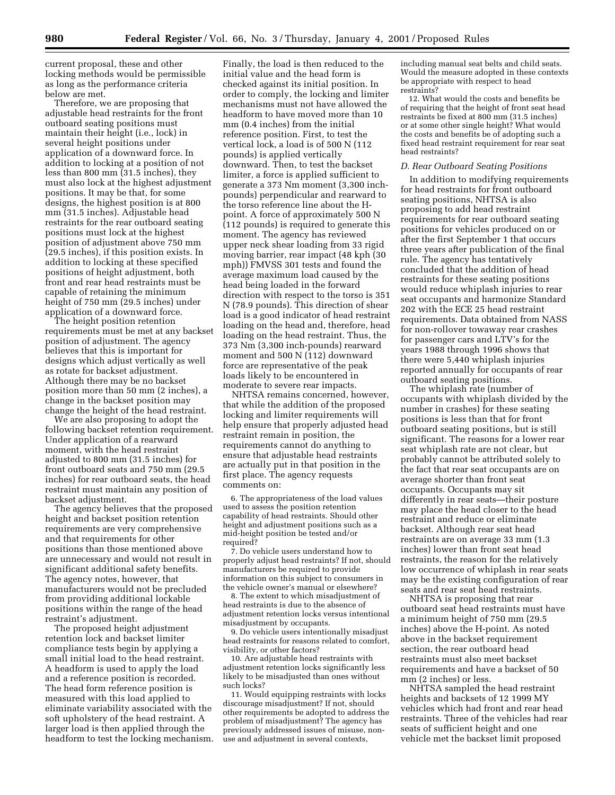current proposal, these and other locking methods would be permissible as long as the performance criteria below are met.

Therefore, we are proposing that adjustable head restraints for the front outboard seating positions must maintain their height (i.e., lock) in several height positions under application of a downward force. In addition to locking at a position of not less than 800 mm (31.5 inches), they must also lock at the highest adjustment positions. It may be that, for some designs, the highest position is at 800 mm (31.5 inches). Adjustable head restraints for the rear outboard seating positions must lock at the highest position of adjustment above 750 mm (29.5 inches), if this position exists. In addition to locking at these specified positions of height adjustment, both front and rear head restraints must be capable of retaining the minimum height of 750 mm (29.5 inches) under application of a downward force.

The height position retention requirements must be met at any backset position of adjustment. The agency believes that this is important for designs which adjust vertically as well as rotate for backset adjustment. Although there may be no backset position more than 50 mm (2 inches), a change in the backset position may change the height of the head restraint.

We are also proposing to adopt the following backset retention requirement. Under application of a rearward moment, with the head restraint adjusted to 800 mm (31.5 inches) for front outboard seats and 750 mm (29.5 inches) for rear outboard seats, the head restraint must maintain any position of backset adjustment.

The agency believes that the proposed height and backset position retention requirements are very comprehensive and that requirements for other positions than those mentioned above are unnecessary and would not result in significant additional safety benefits. The agency notes, however, that manufacturers would not be precluded from providing additional lockable positions within the range of the head restraint's adjustment.

The proposed height adjustment retention lock and backset limiter compliance tests begin by applying a small initial load to the head restraint. A headform is used to apply the load and a reference position is recorded. The head form reference position is measured with this load applied to eliminate variability associated with the soft upholstery of the head restraint. A larger load is then applied through the headform to test the locking mechanism.

Finally, the load is then reduced to the initial value and the head form is checked against its initial position. In order to comply, the locking and limiter mechanisms must not have allowed the headform to have moved more than 10 mm (0.4 inches) from the initial reference position. First, to test the vertical lock, a load is of 500 N (112 pounds) is applied vertically downward. Then, to test the backset limiter, a force is applied sufficient to generate a 373 Nm moment (3,300 inchpounds) perpendicular and rearward to the torso reference line about the Hpoint. A force of approximately 500 N (112 pounds) is required to generate this moment. The agency has reviewed upper neck shear loading from 33 rigid moving barrier, rear impact (48 kph (30 mph)) FMVSS 301 tests and found the average maximum load caused by the head being loaded in the forward direction with respect to the torso is 351 N (78.9 pounds). This direction of shear load is a good indicator of head restraint loading on the head and, therefore, head loading on the head restraint. Thus, the 373 Nm (3,300 inch-pounds) rearward moment and 500 N (112) downward force are representative of the peak loads likely to be encountered in moderate to severe rear impacts.

NHTSA remains concerned, however, that while the addition of the proposed locking and limiter requirements will help ensure that properly adjusted head restraint remain in position, the requirements cannot do anything to ensure that adjustable head restraints are actually put in that position in the first place. The agency requests comments on:

6. The appropriateness of the load values used to assess the position retention capability of head restraints. Should other height and adjustment positions such as a mid-height position be tested and/or required?

7. Do vehicle users understand how to properly adjust head restraints? If not, should manufacturers be required to provide information on this subject to consumers in the vehicle owner's manual or elsewhere?

8. The extent to which misadjustment of head restraints is due to the absence of adjustment retention locks versus intentional misadjustment by occupants.

9. Do vehicle users intentionally misadjust head restraints for reasons related to comfort, visibility, or other factors?

10. Are adjustable head restraints with adjustment retention locks significantly less likely to be misadjusted than ones without such locks?

11. Would equipping restraints with locks discourage misadjustment? If not, should other requirements be adopted to address the problem of misadjustment? The agency has previously addressed issues of misuse, nonuse and adjustment in several contexts,

including manual seat belts and child seats. Would the measure adopted in these contexts be appropriate with respect to head restraints?

12. What would the costs and benefits be of requiring that the height of front seat head restraints be fixed at 800 mm (31.5 inches) or at some other single height? What would the costs and benefits be of adopting such a fixed head restraint requirement for rear seat head restraints?

# *D. Rear Outboard Seating Positions*

In addition to modifying requirements for head restraints for front outboard seating positions, NHTSA is also proposing to add head restraint requirements for rear outboard seating positions for vehicles produced on or after the first September 1 that occurs three years after publication of the final rule. The agency has tentatively concluded that the addition of head restraints for these seating positions would reduce whiplash injuries to rear seat occupants and harmonize Standard 202 with the ECE 25 head restraint requirements. Data obtained from NASS for non-rollover towaway rear crashes for passenger cars and LTV's for the years 1988 through 1996 shows that there were 5,440 whiplash injuries reported annually for occupants of rear outboard seating positions.

The whiplash rate (number of occupants with whiplash divided by the number in crashes) for these seating positions is less than that for front outboard seating positions, but is still significant. The reasons for a lower rear seat whiplash rate are not clear, but probably cannot be attributed solely to the fact that rear seat occupants are on average shorter than front seat occupants. Occupants may sit differently in rear seats—their posture may place the head closer to the head restraint and reduce or eliminate backset. Although rear seat head restraints are on average 33 mm (1.3 inches) lower than front seat head restraints, the reason for the relatively low occurrence of whiplash in rear seats may be the existing configuration of rear seats and rear seat head restraints.

NHTSA is proposing that rear outboard seat head restraints must have a minimum height of 750 mm (29.5 inches) above the H-point. As noted above in the backset requirement section, the rear outboard head restraints must also meet backset requirements and have a backset of 50 mm (2 inches) or less.

NHTSA sampled the head restraint heights and backsets of 12 1999 MY vehicles which had front and rear head restraints. Three of the vehicles had rear seats of sufficient height and one vehicle met the backset limit proposed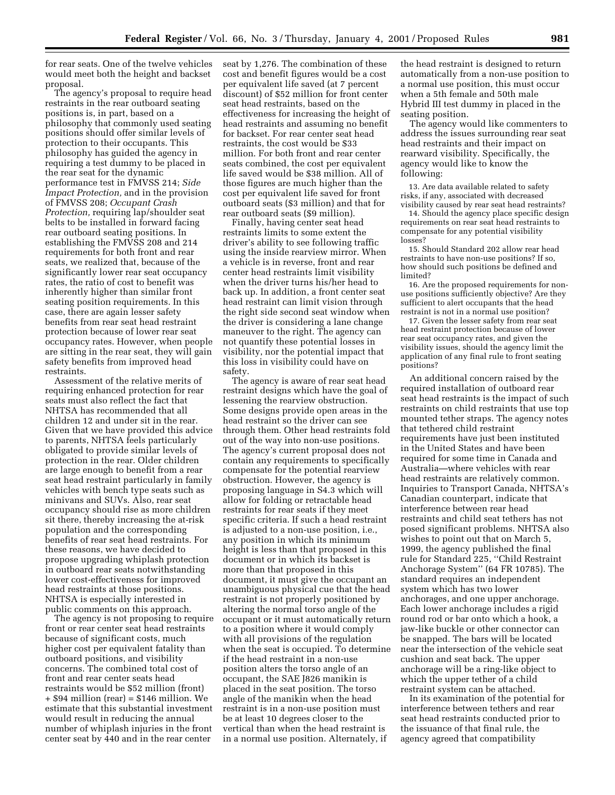for rear seats. One of the twelve vehicles would meet both the height and backset proposal.

The agency's proposal to require head restraints in the rear outboard seating positions is, in part, based on a philosophy that commonly used seating positions should offer similar levels of protection to their occupants. This philosophy has guided the agency in requiring a test dummy to be placed in the rear seat for the dynamic performance test in FMVSS 214; *Side Impact Protection,* and in the provision of FMVSS 208; *Occupant Crash Protection,* requiring lap/shoulder seat belts to be installed in forward facing rear outboard seating positions. In establishing the FMVSS 208 and 214 requirements for both front and rear seats, we realized that, because of the significantly lower rear seat occupancy rates, the ratio of cost to benefit was inherently higher than similar front seating position requirements. In this case, there are again lesser safety benefits from rear seat head restraint protection because of lower rear seat occupancy rates. However, when people are sitting in the rear seat, they will gain safety benefits from improved head restraints.

Assessment of the relative merits of requiring enhanced protection for rear seats must also reflect the fact that NHTSA has recommended that all children 12 and under sit in the rear. Given that we have provided this advice to parents, NHTSA feels particularly obligated to provide similar levels of protection in the rear. Older children are large enough to benefit from a rear seat head restraint particularly in family vehicles with bench type seats such as minivans and SUVs. Also, rear seat occupancy should rise as more children sit there, thereby increasing the at-risk population and the corresponding benefits of rear seat head restraints. For these reasons, we have decided to propose upgrading whiplash protection in outboard rear seats notwithstanding lower cost-effectiveness for improved head restraints at those positions. NHTSA is especially interested in public comments on this approach.

The agency is not proposing to require front or rear center seat head restraints because of significant costs, much higher cost per equivalent fatality than outboard positions, and visibility concerns. The combined total cost of front and rear center seats head restraints would be \$52 million (front) + \$94 million (rear) = \$146 million. We estimate that this substantial investment would result in reducing the annual number of whiplash injuries in the front center seat by 440 and in the rear center

seat by 1,276. The combination of these cost and benefit figures would be a cost per equivalent life saved (at 7 percent discount) of \$52 million for front center seat head restraints, based on the effectiveness for increasing the height of head restraints and assuming no benefit for backset. For rear center seat head restraints, the cost would be \$33 million. For both front and rear center seats combined, the cost per equivalent life saved would be \$38 million. All of those figures are much higher than the cost per equivalent life saved for front outboard seats (\$3 million) and that for rear outboard seats (\$9 million).

Finally, having center seat head restraints limits to some extent the driver's ability to see following traffic using the inside rearview mirror. When a vehicle is in reverse, front and rear center head restraints limit visibility when the driver turns his/her head to back up. In addition, a front center seat head restraint can limit vision through the right side second seat window when the driver is considering a lane change maneuver to the right. The agency can not quantify these potential losses in visibility, nor the potential impact that this loss in visibility could have on safety.

The agency is aware of rear seat head restraint designs which have the goal of lessening the rearview obstruction. Some designs provide open areas in the head restraint so the driver can see through them. Other head restraints fold out of the way into non-use positions. The agency's current proposal does not contain any requirements to specifically compensate for the potential rearview obstruction. However, the agency is proposing language in S4.3 which will allow for folding or retractable head restraints for rear seats if they meet specific criteria. If such a head restraint is adjusted to a non-use position, i.e., any position in which its minimum height is less than that proposed in this document or in which its backset is more than that proposed in this document, it must give the occupant an unambiguous physical cue that the head restraint is not properly positioned by altering the normal torso angle of the occupant or it must automatically return to a position where it would comply with all provisions of the regulation when the seat is occupied. To determine if the head restraint in a non-use position alters the torso angle of an occupant, the SAE J826 manikin is placed in the seat position. The torso angle of the manikin when the head restraint is in a non-use position must be at least 10 degrees closer to the vertical than when the head restraint is in a normal use position. Alternately, if

the head restraint is designed to return automatically from a non-use position to a normal use position, this must occur when a 5th female and 50th male Hybrid III test dummy in placed in the seating position.

The agency would like commenters to address the issues surrounding rear seat head restraints and their impact on rearward visibility. Specifically, the agency would like to know the following:

13. Are data available related to safety risks, if any, associated with decreased visibility caused by rear seat head restraints?

14. Should the agency place specific design requirements on rear seat head restraints to compensate for any potential visibility losses?

15. Should Standard 202 allow rear head restraints to have non-use positions? If so, how should such positions be defined and limited?

16. Are the proposed requirements for nonuse positions sufficiently objective? Are they sufficient to alert occupants that the head restraint is not in a normal use position?

17. Given the lesser safety from rear seat head restraint protection because of lower rear seat occupancy rates, and given the visibility issues, should the agency limit the application of any final rule to front seating positions?

An additional concern raised by the required installation of outboard rear seat head restraints is the impact of such restraints on child restraints that use top mounted tether straps. The agency notes that tethered child restraint requirements have just been instituted in the United States and have been required for some time in Canada and Australia—where vehicles with rear head restraints are relatively common. Inquiries to Transport Canada, NHTSA's Canadian counterpart, indicate that interference between rear head restraints and child seat tethers has not posed significant problems. NHTSA also wishes to point out that on March 5, 1999, the agency published the final rule for Standard 225, ''Child Restraint Anchorage System'' (64 FR 10785). The standard requires an independent system which has two lower anchorages, and one upper anchorage. Each lower anchorage includes a rigid round rod or bar onto which a hook, a jaw-like buckle or other connector can be snapped. The bars will be located near the intersection of the vehicle seat cushion and seat back. The upper anchorage will be a ring-like object to which the upper tether of a child restraint system can be attached.

In its examination of the potential for interference between tethers and rear seat head restraints conducted prior to the issuance of that final rule, the agency agreed that compatibility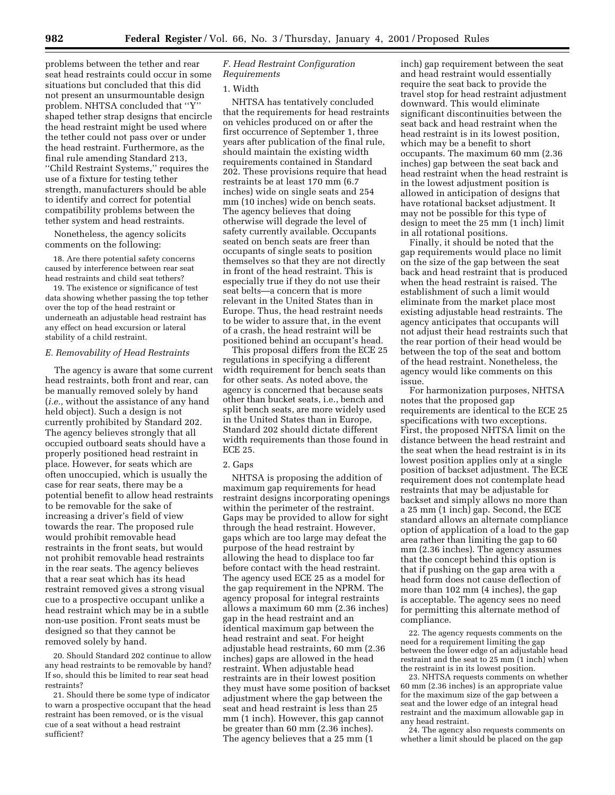problems between the tether and rear seat head restraints could occur in some situations but concluded that this did not present an unsurmountable design problem. NHTSA concluded that ''Y'' shaped tether strap designs that encircle the head restraint might be used where the tether could not pass over or under the head restraint. Furthermore, as the final rule amending Standard 213, ''Child Restraint Systems,'' requires the use of a fixture for testing tether strength, manufacturers should be able to identify and correct for potential compatibility problems between the tether system and head restraints.

Nonetheless, the agency solicits comments on the following:

18. Are there potential safety concerns caused by interference between rear seat head restraints and child seat tethers?

19. The existence or significance of test data showing whether passing the top tether over the top of the head restraint or underneath an adjustable head restraint has any effect on head excursion or lateral stability of a child restraint.

#### *E. Removability of Head Restraints*

The agency is aware that some current head restraints, both front and rear, can be manually removed solely by hand (*i.e.,* without the assistance of any hand held object). Such a design is not currently prohibited by Standard 202. The agency believes strongly that all occupied outboard seats should have a properly positioned head restraint in place. However, for seats which are often unoccupied, which is usually the case for rear seats, there may be a potential benefit to allow head restraints to be removable for the sake of increasing a driver's field of view towards the rear. The proposed rule would prohibit removable head restraints in the front seats, but would not prohibit removable head restraints in the rear seats. The agency believes that a rear seat which has its head restraint removed gives a strong visual cue to a prospective occupant unlike a head restraint which may be in a subtle non-use position. Front seats must be designed so that they cannot be removed solely by hand.

20. Should Standard 202 continue to allow any head restraints to be removable by hand? If so, should this be limited to rear seat head restraints?

21. Should there be some type of indicator to warn a prospective occupant that the head restraint has been removed, or is the visual cue of a seat without a head restraint sufficient?

# *F. Head Restraint Configuration Requirements*

#### 1. Width

NHTSA has tentatively concluded that the requirements for head restraints on vehicles produced on or after the first occurrence of September 1, three years after publication of the final rule, should maintain the existing width requirements contained in Standard 202. These provisions require that head restraints be at least 170 mm (6.7 inches) wide on single seats and 254 mm (10 inches) wide on bench seats. The agency believes that doing otherwise will degrade the level of safety currently available. Occupants seated on bench seats are freer than occupants of single seats to position themselves so that they are not directly in front of the head restraint. This is especially true if they do not use their seat belts—a concern that is more relevant in the United States than in Europe. Thus, the head restraint needs to be wider to assure that, in the event of a crash, the head restraint will be positioned behind an occupant's head.

This proposal differs from the ECE 25 regulations in specifying a different width requirement for bench seats than for other seats. As noted above, the agency is concerned that because seats other than bucket seats, i.e., bench and split bench seats, are more widely used in the United States than in Europe, Standard 202 should dictate different width requirements than those found in ECE 25.

#### 2. Gaps

NHTSA is proposing the addition of maximum gap requirements for head restraint designs incorporating openings within the perimeter of the restraint. Gaps may be provided to allow for sight through the head restraint. However, gaps which are too large may defeat the purpose of the head restraint by allowing the head to displace too far before contact with the head restraint. The agency used ECE 25 as a model for the gap requirement in the NPRM. The agency proposal for integral restraints allows a maximum 60 mm (2.36 inches) gap in the head restraint and an identical maximum gap between the head restraint and seat. For height adjustable head restraints, 60 mm (2.36 inches) gaps are allowed in the head restraint. When adjustable head restraints are in their lowest position they must have some position of backset adjustment where the gap between the seat and head restraint is less than 25 mm (1 inch). However, this gap cannot be greater than 60 mm (2.36 inches). The agency believes that a 25 mm (1

inch) gap requirement between the seat and head restraint would essentially require the seat back to provide the travel stop for head restraint adjustment downward. This would eliminate significant discontinuities between the seat back and head restraint when the head restraint is in its lowest position, which may be a benefit to short occupants. The maximum 60 mm (2.36 inches) gap between the seat back and head restraint when the head restraint is in the lowest adjustment position is allowed in anticipation of designs that have rotational backset adjustment. It may not be possible for this type of design to meet the 25 mm (1 inch) limit in all rotational positions.

Finally, it should be noted that the gap requirements would place no limit on the size of the gap between the seat back and head restraint that is produced when the head restraint is raised. The establishment of such a limit would eliminate from the market place most existing adjustable head restraints. The agency anticipates that occupants will not adjust their head restraints such that the rear portion of their head would be between the top of the seat and bottom of the head restraint. Nonetheless, the agency would like comments on this issue.

For harmonization purposes, NHTSA notes that the proposed gap requirements are identical to the ECE 25 specifications with two exceptions. First, the proposed NHTSA limit on the distance between the head restraint and the seat when the head restraint is in its lowest position applies only at a single position of backset adjustment. The ECE requirement does not contemplate head restraints that may be adjustable for backset and simply allows no more than a 25 mm (1 inch) gap. Second, the ECE standard allows an alternate compliance option of application of a load to the gap area rather than limiting the gap to 60 mm (2.36 inches). The agency assumes that the concept behind this option is that if pushing on the gap area with a head form does not cause deflection of more than 102 mm (4 inches), the gap is acceptable. The agency sees no need for permitting this alternate method of compliance.

22. The agency requests comments on the need for a requirement limiting the gap between the lower edge of an adjustable head restraint and the seat to 25 mm (1 inch) when the restraint is in its lowest position.

23. NHTSA requests comments on whether 60 mm (2.36 inches) is an appropriate value for the maximum size of the gap between a seat and the lower edge of an integral head restraint and the maximum allowable gap in any head restraint.

24. The agency also requests comments on whether a limit should be placed on the gap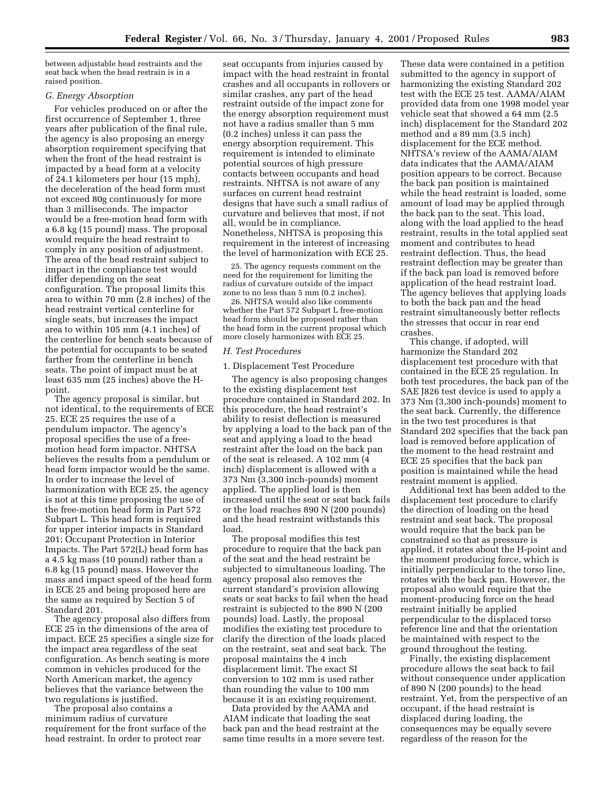between adjustable head restraints and the seat back when the head restrain is in a raised position.

#### *G. Energy Absorption*

For vehicles produced on or after the first occurrence of September 1, three years after publication of the final rule, the agency is also proposing an energy absorption requirement specifying that when the front of the head restraint is impacted by a head form at a velocity of 24.1 kilometers per hour (15 mph), the deceleration of the head form must not exceed 80g continuously for more than 3 milliseconds. The impactor would be a free-motion head form with a 6.8 kg (15 pound) mass. The proposal would require the head restraint to comply in any position of adjustment. The area of the head restraint subject to impact in the compliance test would differ depending on the seat configuration. The proposal limits this area to within 70 mm (2.8 inches) of the head restraint vertical centerline for single seats, but increases the impact area to within 105 mm (4.1 inches) of the centerline for bench seats because of the potential for occupants to be seated farther from the centerline in bench seats. The point of impact must be at least 635 mm (25 inches) above the Hpoint.

The agency proposal is similar, but not identical, to the requirements of ECE 25. ECE 25 requires the use of a pendulum impactor. The agency's proposal specifies the use of a freemotion head form impactor. NHTSA believes the results from a pendulum or head form impactor would be the same. In order to increase the level of harmonization with ECE 25, the agency is not at this time proposing the use of the free-motion head form in Part 572 Subpart L. This head form is required for upper interior impacts in Standard 201; Occupant Protection in Interior Impacts. The Part 572(L) head form has a 4.5 kg mass (10 pound) rather than a 6.8 kg (15 pound) mass. However the mass and impact speed of the head form in ECE 25 and being proposed here are the same as required by Section 5 of Standard 201.

The agency proposal also differs from ECE 25 in the dimensions of the area of impact. ECE 25 specifies a single size for the impact area regardless of the seat configuration. As bench seating is more common in vehicles produced for the North American market, the agency believes that the variance between the two regulations is justified.

The proposal also contains a minimum radius of curvature requirement for the front surface of the head restraint. In order to protect rear

seat occupants from injuries caused by impact with the head restraint in frontal crashes and all occupants in rollovers or similar crashes, any part of the head restraint outside of the impact zone for the energy absorption requirement must not have a radius smaller than 5 mm (0.2 inches) unless it can pass the energy absorption requirement. This requirement is intended to eliminate potential sources of high pressure contacts between occupants and head restraints. NHTSA is not aware of any surfaces on current head restraint designs that have such a small radius of curvature and believes that most, if not all, would be in compliance. Nonetheless, NHTSA is proposing this requirement in the interest of increasing the level of harmonization with ECE 25.

25. The agency requests comment on the need for the requirement for limiting the radius of curvature outside of the impact zone to no less than 5 mm (0.2 inches).

26. NHTSA would also like comments whether the Part 572 Subpart L free-motion head form should be proposed rather than the head form in the current proposal which more closely harmonizes with ECE 25.

#### *H. Test Procedures*

#### 1. Displacement Test Procedure

The agency is also proposing changes to the existing displacement test procedure contained in Standard 202. In this procedure, the head restraint's ability to resist deflection is measured by applying a load to the back pan of the seat and applying a load to the head restraint after the load on the back pan of the seat is released. A 102 mm (4 inch) displacement is allowed with a 373 Nm (3,300 inch-pounds) moment applied. The applied load is then increased until the seat or seat back fails or the load reaches 890 N (200 pounds) and the head restraint withstands this load.

The proposal modifies this test procedure to require that the back pan of the seat and the head restraint be subjected to simultaneous loading. The agency proposal also removes the current standard's provision allowing seats or seat backs to fail when the head restraint is subjected to the 890 N (200 pounds) load. Lastly, the proposal modifies the existing test procedure to clarify the direction of the loads placed on the restraint, seat and seat back. The proposal maintains the 4 inch displacement limit. The exact SI conversion to 102 mm is used rather than rounding the value to 100 mm because it is an existing requirement.

Data provided by the AAMA and AIAM indicate that loading the seat back pan and the head restraint at the same time results in a more severe test.

These data were contained in a petition submitted to the agency in support of harmonizing the existing Standard 202 test with the ECE 25 test. AAMA/AIAM provided data from one 1998 model year vehicle seat that showed a 64 mm (2.5 inch) displacement for the Standard 202 method and a 89 mm (3.5 inch) displacement for the ECE method. NHTSA's review of the AAMA/AIAM data indicates that the AAMA/AIAM position appears to be correct. Because the back pan position is maintained while the head restraint is loaded, some amount of load may be applied through the back pan to the seat. This load, along with the load applied to the head restraint, results in the total applied seat moment and contributes to head restraint deflection. Thus, the head restraint deflection may be greater than if the back pan load is removed before application of the head restraint load. The agency believes that applying loads to both the back pan and the head restraint simultaneously better reflects the stresses that occur in rear end crashes.

This change, if adopted, will harmonize the Standard 202 displacement test procedure with that contained in the ECE 25 regulation. In both test procedures, the back pan of the SAE J826 test device is used to apply a 373 Nm (3,300 inch-pounds) moment to the seat back. Currently, the difference in the two test procedures is that Standard 202 specifies that the back pan load is removed before application of the moment to the head restraint and ECE 25 specifies that the back pan position is maintained while the head restraint moment is applied.

Additional text has been added to the displacement test procedure to clarify the direction of loading on the head restraint and seat back. The proposal would require that the back pan be constrained so that as pressure is applied, it rotates about the H-point and the moment producing force, which is initially perpendicular to the torso line, rotates with the back pan. However, the proposal also would require that the moment-producing force on the head restraint initially be applied perpendicular to the displaced torso reference line and that the orientation be maintained with respect to the ground throughout the testing.

Finally, the existing displacement procedure allows the seat back to fail without consequence under application of 890 N (200 pounds) to the head restraint. Yet, from the perspective of an occupant, if the head restraint is displaced during loading, the consequences may be equally severe regardless of the reason for the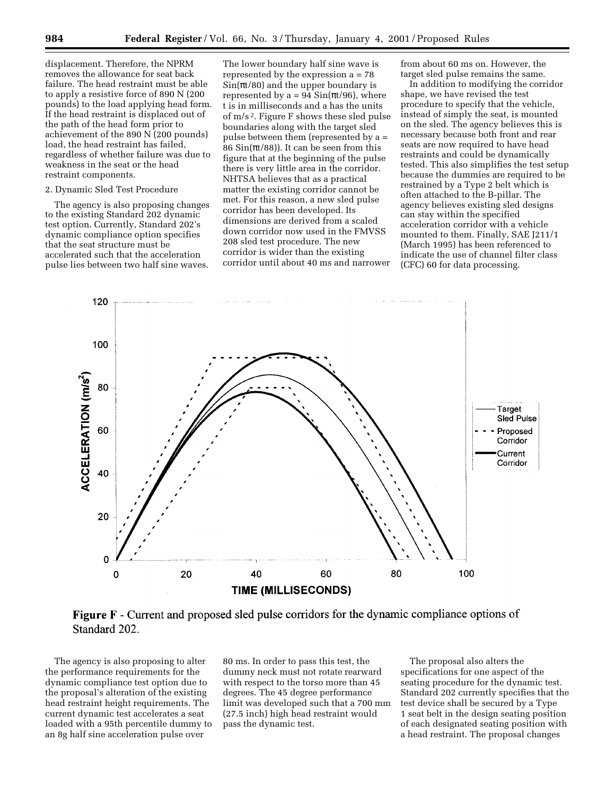displacement. Therefore, the NPRM removes the allowance for seat back failure. The head restraint must be able to apply a resistive force of 890 N (200 pounds) to the load applying head form. If the head restraint is displaced out of the path of the head form prior to achievement of the 890 N (200 pounds) load, the head restraint has failed, regardless of whether failure was due to weakness in the seat or the head restraint components.

#### 2. Dynamic Sled Test Procedure

The agency is also proposing changes to the existing Standard 202 dynamic test option. Currently, Standard 202's dynamic compliance option specifies that the seat structure must be accelerated such that the acceleration pulse lies between two half sine waves.

The lower boundary half sine wave is represented by the expression a = 78  $\sin(\pi t/80)$  and the upper boundary is represented by a = 94  $\text{Sin}(\pi t/96)$ , where t is in milliseconds and a has the units of m/s 2. Figure F shows these sled pulse boundaries along with the target sled pulse between them (represented by a = 86  $\sin(\pi t/88)$ ). It can be seen from this figure that at the beginning of the pulse there is very little area in the corridor. NHTSA believes that as a practical matter the existing corridor cannot be met. For this reason, a new sled pulse corridor has been developed. Its dimensions are derived from a scaled down corridor now used in the FMVSS 208 sled test procedure. The new corridor is wider than the existing corridor until about 40 ms and narrower

from about 60 ms on. However, the target sled pulse remains the same.

In addition to modifying the corridor shape, we have revised the test procedure to specify that the vehicle, instead of simply the seat, is mounted on the sled. The agency believes this is necessary because both front and rear seats are now required to have head restraints and could be dynamically tested. This also simplifies the test setup because the dummies are required to be restrained by a Type 2 belt which is often attached to the B-pillar. The agency believes existing sled designs can stay within the specified acceleration corridor with a vehicle mounted to them. Finally, SAE J211/1 (March 1995) has been referenced to indicate the use of channel filter class (CFC) 60 for data processing.



**Figure F** - Current and proposed sled pulse corridors for the dynamic compliance options of Standard 202.

The agency is also proposing to alter the performance requirements for the dynamic compliance test option due to the proposal's alteration of the existing head restraint height requirements. The current dynamic test accelerates a seat loaded with a 95th percentile dummy to an 8g half sine acceleration pulse over

80 ms. In order to pass this test, the dummy neck must not rotate rearward with respect to the torso more than 45 degrees. The 45 degree performance limit was developed such that a 700 mm (27.5 inch) high head restraint would pass the dynamic test.

The proposal also alters the specifications for one aspect of the seating procedure for the dynamic test. Standard 202 currently specifies that the test device shall be secured by a Type 1 seat belt in the design seating position of each designated seating position with a head restraint. The proposal changes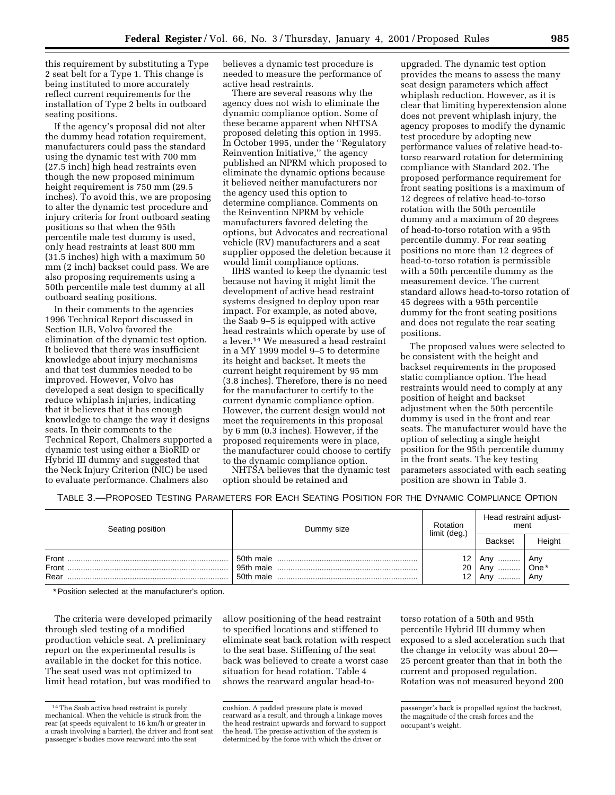this requirement by substituting a Type 2 seat belt for a Type 1. This change is being instituted to more accurately reflect current requirements for the installation of Type 2 belts in outboard seating positions.

If the agency's proposal did not alter the dummy head rotation requirement, manufacturers could pass the standard using the dynamic test with 700 mm (27.5 inch) high head restraints even though the new proposed minimum height requirement is 750 mm (29.5 inches). To avoid this, we are proposing to alter the dynamic test procedure and injury criteria for front outboard seating positions so that when the 95th percentile male test dummy is used, only head restraints at least 800 mm (31.5 inches) high with a maximum 50 mm (2 inch) backset could pass. We are also proposing requirements using a 50th percentile male test dummy at all outboard seating positions.

In their comments to the agencies 1996 Technical Report discussed in Section II.B, Volvo favored the elimination of the dynamic test option. It believed that there was insufficient knowledge about injury mechanisms and that test dummies needed to be improved. However, Volvo has developed a seat design to specifically reduce whiplash injuries, indicating that it believes that it has enough knowledge to change the way it designs seats. In their comments to the Technical Report, Chalmers supported a dynamic test using either a BioRID or Hybrid III dummy and suggested that the Neck Injury Criterion (NIC) be used to evaluate performance. Chalmers also

believes a dynamic test procedure is needed to measure the performance of active head restraints.

There are several reasons why the agency does not wish to eliminate the dynamic compliance option. Some of these became apparent when NHTSA proposed deleting this option in 1995. In October 1995, under the ''Regulatory Reinvention Initiative,'' the agency published an NPRM which proposed to eliminate the dynamic options because it believed neither manufacturers nor the agency used this option to determine compliance. Comments on the Reinvention NPRM by vehicle manufacturers favored deleting the options, but Advocates and recreational vehicle (RV) manufacturers and a seat supplier opposed the deletion because it would limit compliance options.

IIHS wanted to keep the dynamic test because not having it might limit the development of active head restraint systems designed to deploy upon rear impact. For example, as noted above, the Saab 9–5 is equipped with active head restraints which operate by use of a lever.14 We measured a head restraint in a MY 1999 model 9–5 to determine its height and backset. It meets the current height requirement by 95 mm (3.8 inches). Therefore, there is no need for the manufacturer to certify to the current dynamic compliance option. However, the current design would not meet the requirements in this proposal by 6 mm (0.3 inches). However, if the proposed requirements were in place, the manufacturer could choose to certify to the dynamic compliance option.

NHTSA believes that the dynamic test option should be retained and

upgraded. The dynamic test option provides the means to assess the many seat design parameters which affect whiplash reduction. However, as it is clear that limiting hyperextension alone does not prevent whiplash injury, the agency proposes to modify the dynamic test procedure by adopting new performance values of relative head-totorso rearward rotation for determining compliance with Standard 202. The proposed performance requirement for front seating positions is a maximum of 12 degrees of relative head-to-torso rotation with the 50th percentile dummy and a maximum of 20 degrees of head-to-torso rotation with a 95th percentile dummy. For rear seating positions no more than 12 degrees of head-to-torso rotation is permissible with a 50th percentile dummy as the measurement device. The current standard allows head-to-torso rotation of 45 degrees with a 95th percentile dummy for the front seating positions and does not regulate the rear seating positions.

The proposed values were selected to be consistent with the height and backset requirements in the proposed static compliance option. The head restraints would need to comply at any position of height and backset adjustment when the 50th percentile dummy is used in the front and rear seats. The manufacturer would have the option of selecting a single height position for the 95th percentile dummy in the front seats. The key testing parameters associated with each seating position are shown in Table 3.

TABLE 3.—PROPOSED TESTING PARAMETERS FOR EACH SEATING POSITION FOR THE DYNAMIC COMPLIANCE OPTION

| Seating position | Dummy size | Rotation<br>limit (deg.) | Head restraint adjust-<br>ment  |                    |
|------------------|------------|--------------------------|---------------------------------|--------------------|
|                  |            |                          | <b>Backset</b>                  | Height             |
| Front<br>Rear    | 50th male  | 12<br>20<br>12           | Any<br>.<br>Anv<br>.<br>Anv<br> | Any<br>One*<br>Any |

\* Position selected at the manufacturer's option.

The criteria were developed primarily through sled testing of a modified production vehicle seat. A preliminary report on the experimental results is available in the docket for this notice. The seat used was not optimized to limit head rotation, but was modified to

allow positioning of the head restraint to specified locations and stiffened to eliminate seat back rotation with respect to the seat base. Stiffening of the seat back was believed to create a worst case situation for head rotation. Table 4 shows the rearward angular head-to-

torso rotation of a 50th and 95th percentile Hybrid III dummy when exposed to a sled acceleration such that the change in velocity was about 20— 25 percent greater than that in both the current and proposed regulation. Rotation was not measured beyond 200

<sup>14</sup>The Saab active head restraint is purely mechanical. When the vehicle is struck from the rear (at speeds equivalent to 16 km/h or greater in a crash involving a barrier), the driver and front seat passenger's bodies move rearward into the seat

cushion. A padded pressure plate is moved rearward as a result, and through a linkage moves the head restraint upwards and forward to support the head. The precise activation of the system is determined by the force with which the driver or

passenger's back is propelled against the backrest, the magnitude of the crash forces and the occupant's weight.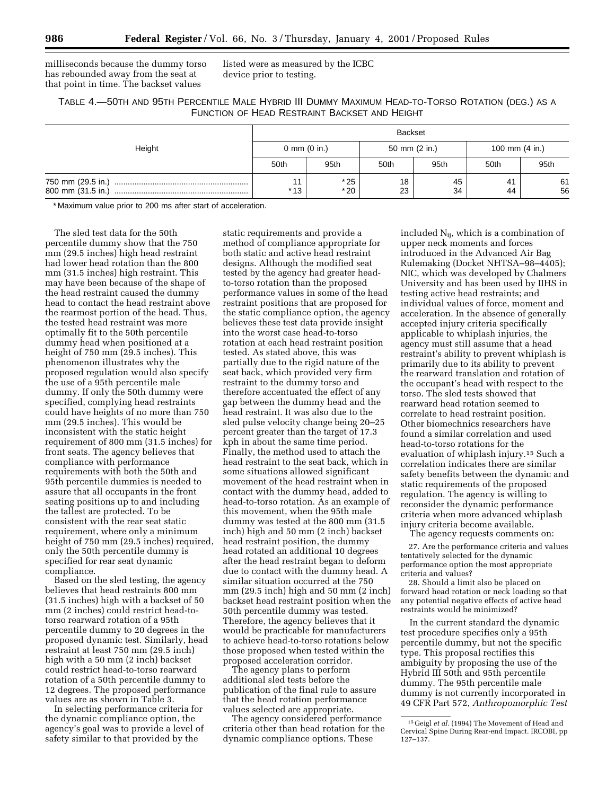milliseconds because the dummy torso has rebounded away from the seat at that point in time. The backset values

listed were as measured by the ICBC device prior to testing.

# TABLE 4.—50TH AND 95TH PERCENTILE MALE HYBRID III DUMMY MAXIMUM HEAD-TO-TORSO ROTATION (DEG.) AS A FUNCTION OF HEAD RESTRAINT BACKSET AND HEIGHT

|                                        | <b>Backset</b>         |                |               |          |                  |          |
|----------------------------------------|------------------------|----------------|---------------|----------|------------------|----------|
| Height                                 | 0 mm $(0 \text{ in.})$ |                | 50 mm (2 in.) |          | 100 mm $(4 in.)$ |          |
|                                        | 50th                   | 95th           | 50th          | 95th     | 50th             | 95th     |
| 750 mm (29.5 in.)<br>800 mm (31.5 in.) | 11<br>$*13$            | $*25$<br>$*20$ | 18<br>23      | 45<br>34 | 41<br>44         | 61<br>56 |

\* Maximum value prior to 200 ms after start of acceleration.

The sled test data for the 50th percentile dummy show that the 750 mm (29.5 inches) high head restraint had lower head rotation than the 800 mm (31.5 inches) high restraint. This may have been because of the shape of the head restraint caused the dummy head to contact the head restraint above the rearmost portion of the head. Thus, the tested head restraint was more optimally fit to the 50th percentile dummy head when positioned at a height of 750 mm (29.5 inches). This phenomenon illustrates why the proposed regulation would also specify the use of a 95th percentile male dummy. If only the 50th dummy were specified, complying head restraints could have heights of no more than 750 mm (29.5 inches). This would be inconsistent with the static height requirement of 800 mm (31.5 inches) for front seats. The agency believes that compliance with performance requirements with both the 50th and 95th percentile dummies is needed to assure that all occupants in the front seating positions up to and including the tallest are protected. To be consistent with the rear seat static requirement, where only a minimum height of 750 mm (29.5 inches) required, only the 50th percentile dummy is specified for rear seat dynamic compliance.

Based on the sled testing, the agency believes that head restraints 800 mm (31.5 inches) high with a backset of 50 mm (2 inches) could restrict head-totorso rearward rotation of a 95th percentile dummy to 20 degrees in the proposed dynamic test. Similarly, head restraint at least 750 mm (29.5 inch) high with a 50 mm (2 inch) backset could restrict head-to-torso rearward rotation of a 50th percentile dummy to 12 degrees. The proposed performance values are as shown in Table 3.

In selecting performance criteria for the dynamic compliance option, the agency's goal was to provide a level of safety similar to that provided by the

static requirements and provide a method of compliance appropriate for both static and active head restraint designs. Although the modified seat tested by the agency had greater headto-torso rotation than the proposed performance values in some of the head restraint positions that are proposed for the static compliance option, the agency believes these test data provide insight into the worst case head-to-torso rotation at each head restraint position tested. As stated above, this was partially due to the rigid nature of the seat back, which provided very firm restraint to the dummy torso and therefore accentuated the effect of any gap between the dummy head and the head restraint. It was also due to the sled pulse velocity change being 20–25 percent greater than the target of 17.3 kph in about the same time period. Finally, the method used to attach the head restraint to the seat back, which in some situations allowed significant movement of the head restraint when in contact with the dummy head, added to head-to-torso rotation. As an example of this movement, when the 95th male dummy was tested at the 800 mm (31.5 inch) high and 50 mm (2 inch) backset head restraint position, the dummy head rotated an additional 10 degrees after the head restraint began to deform due to contact with the dummy head. A similar situation occurred at the 750 mm (29.5 inch) high and 50 mm (2 inch) backset head restraint position when the 50th percentile dummy was tested. Therefore, the agency believes that it would be practicable for manufacturers to achieve head-to-torso rotations below those proposed when tested within the proposed acceleration corridor.

The agency plans to perform additional sled tests before the publication of the final rule to assure that the head rotation performance values selected are appropriate.

The agency considered performance criteria other than head rotation for the dynamic compliance options. These

included  $N_{ii}$ , which is a combination of upper neck moments and forces introduced in the Advanced Air Bag Rulemaking (Docket NHTSA–98–4405); NIC, which was developed by Chalmers University and has been used by IIHS in testing active head restraints; and individual values of force, moment and acceleration. In the absence of generally accepted injury criteria specifically applicable to whiplash injuries, the agency must still assume that a head restraint's ability to prevent whiplash is primarily due to its ability to prevent the rearward translation and rotation of the occupant's head with respect to the torso. The sled tests showed that rearward head rotation seemed to correlate to head restraint position. Other biomechnics researchers have found a similar correlation and used head-to-torso rotations for the evaluation of whiplash injury.15 Such a correlation indicates there are similar safety benefits between the dynamic and static requirements of the proposed regulation. The agency is willing to reconsider the dynamic performance criteria when more advanced whiplash injury criteria become available.

The agency requests comments on:

27. Are the performance criteria and values tentatively selected for the dynamic performance option the most appropriate criteria and values?

28. Should a limit also be placed on forward head rotation or neck loading so that any potential negative effects of active head restraints would be minimized?

In the current standard the dynamic test procedure specifies only a 95th percentile dummy, but not the specific type. This proposal rectifies this ambiguity by proposing the use of the Hybrid III 50th and 95th percentile dummy. The 95th percentile male dummy is not currently incorporated in 49 CFR Part 572, *Anthropomorphic Test*

<sup>&</sup>lt;sup>15</sup> Geigl *et al.* (1994) The Movement of Head and Cervical Spine During Rear-end Impact. IRCOBI, pp 127–137.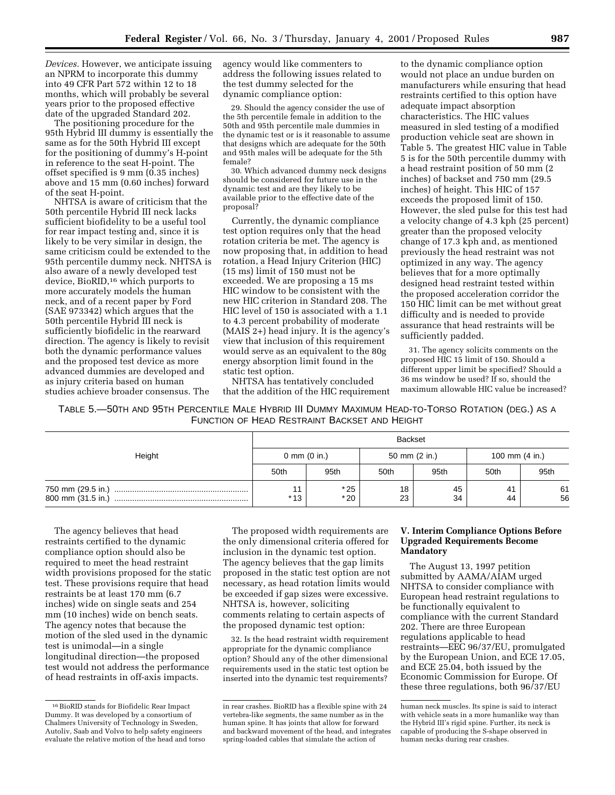*Devices.* However, we anticipate issuing an NPRM to incorporate this dummy into 49 CFR Part 572 within 12 to 18 months, which will probably be several years prior to the proposed effective date of the upgraded Standard 202.

The positioning procedure for the 95th Hybrid III dummy is essentially the same as for the 50th Hybrid III except for the positioning of dummy's H-point in reference to the seat H-point. The offset specified is 9 mm (0.35 inches) above and 15 mm (0.60 inches) forward of the seat H-point.

NHTSA is aware of criticism that the 50th percentile Hybrid III neck lacks sufficient biofidelity to be a useful tool for rear impact testing and, since it is likely to be very similar in design, the same criticism could be extended to the 95th percentile dummy neck. NHTSA is also aware of a newly developed test device, BioRID,16 which purports to more accurately models the human neck, and of a recent paper by Ford (SAE 973342) which argues that the 50th percentile Hybrid III neck is sufficiently biofidelic in the rearward direction. The agency is likely to revisit both the dynamic performance values and the proposed test device as more advanced dummies are developed and as injury criteria based on human studies achieve broader consensus. The

agency would like commenters to address the following issues related to the test dummy selected for the dynamic compliance option:

29. Should the agency consider the use of the 5th percentile female in addition to the 50th and 95th percentile male dummies in the dynamic test or is it reasonable to assume that designs which are adequate for the 50th and 95th males will be adequate for the 5th female?

30. Which advanced dummy neck designs should be considered for future use in the dynamic test and are they likely to be available prior to the effective date of the proposal?

Currently, the dynamic compliance test option requires only that the head rotation criteria be met. The agency is now proposing that, in addition to head rotation, a Head Injury Criterion (HIC) (15 ms) limit of 150 must not be exceeded. We are proposing a 15 ms HIC window to be consistent with the new HIC criterion in Standard 208. The HIC level of 150 is associated with a 1.1 to 4.3 percent probability of moderate (MAIS 2+) head injury. It is the agency's view that inclusion of this requirement would serve as an equivalent to the 80g energy absorption limit found in the static test option.

NHTSA has tentatively concluded that the addition of the HIC requirement

to the dynamic compliance option would not place an undue burden on manufacturers while ensuring that head restraints certified to this option have adequate impact absorption characteristics. The HIC values measured in sled testing of a modified production vehicle seat are shown in Table 5. The greatest HIC value in Table 5 is for the 50th percentile dummy with a head restraint position of 50 mm (2 inches) of backset and 750 mm (29.5 inches) of height. This HIC of 157 exceeds the proposed limit of 150. However, the sled pulse for this test had a velocity change of 4.3 kph (25 percent) greater than the proposed velocity change of 17.3 kph and, as mentioned previously the head restraint was not optimized in any way. The agency believes that for a more optimally designed head restraint tested within the proposed acceleration corridor the 150 HIC limit can be met without great difficulty and is needed to provide assurance that head restraints will be sufficiently padded.

31. The agency solicits comments on the proposed HIC 15 limit of 150. Should a different upper limit be specified? Should a 36 ms window be used? If so, should the maximum allowable HIC value be increased?

TABLE 5.—50TH AND 95TH PERCENTILE MALE HYBRID III DUMMY MAXIMUM HEAD-TO-TORSO ROTATION (DEG.) AS A FUNCTION OF HEAD RESTRAINT BACKSET AND HEIGHT

| Height                                 |                        |                | <b>Backset</b> |          |                  |          |
|----------------------------------------|------------------------|----------------|----------------|----------|------------------|----------|
|                                        | 0 mm $(0 \text{ in.})$ |                | 50 mm (2 in.)  |          | 100 mm $(4 in.)$ |          |
|                                        | 50th                   | 95th           | 50th           | 95th     | 50th             | 95th     |
| 750 mm (29.5 in.)<br>800 mm (31.5 in.) | 11<br>* 13             | $*25$<br>$*20$ | 18<br>23       | 45<br>34 | 41<br>44         | 61<br>56 |

The agency believes that head restraints certified to the dynamic compliance option should also be required to meet the head restraint width provisions proposed for the static test. These provisions require that head restraints be at least 170 mm (6.7 inches) wide on single seats and 254 mm (10 inches) wide on bench seats. The agency notes that because the motion of the sled used in the dynamic test is unimodal—in a single longitudinal direction—the proposed test would not address the performance of head restraints in off-axis impacts.

The proposed width requirements are the only dimensional criteria offered for inclusion in the dynamic test option. The agency believes that the gap limits proposed in the static test option are not necessary, as head rotation limits would be exceeded if gap sizes were excessive. NHTSA is, however, soliciting comments relating to certain aspects of the proposed dynamic test option:

32. Is the head restraint width requirement appropriate for the dynamic compliance option? Should any of the other dimensional requirements used in the static test option be inserted into the dynamic test requirements?

#### **V. Interim Compliance Options Before Upgraded Requirements Become Mandatory**

The August 13, 1997 petition submitted by AAMA/AIAM urged NHTSA to consider compliance with European head restraint regulations to be functionally equivalent to compliance with the current Standard 202. There are three European regulations applicable to head restraints—EEC 96/37/EU, promulgated by the European Union, and ECE 17.05, and ECE 25.04, both issued by the Economic Commission for Europe. Of these three regulations, both 96/37/EU

 $^{16}\rm\,BioRID$  stands for Biofidelic Rear Impact Dummy. It was developed by a consortium of Chalmers University of Technology in Sweden, Autoliv, Saab and Volvo to help safety engineers evaluate the relative motion of the head and torso

in rear crashes. BioRID has a flexible spine with 24 vertebra-like segments, the same number as in the human spine. It has joints that allow for forward and backward movement of the head, and integrates spring-loaded cables that simulate the action of

human neck muscles. Its spine is said to interact with vehicle seats in a more humanlike way than the Hybrid III's rigid spine. Further, its neck is capable of producing the S-shape observed in human necks during rear crashes.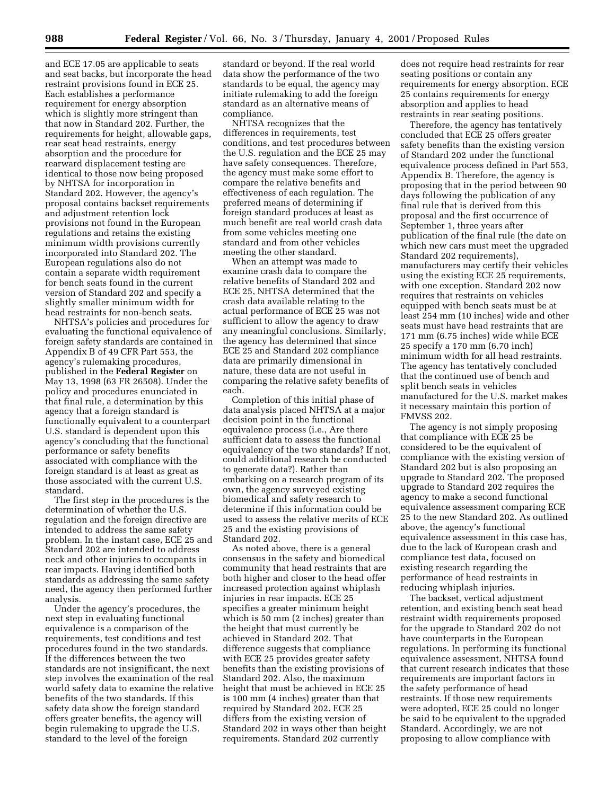and ECE 17.05 are applicable to seats and seat backs, but incorporate the head restraint provisions found in ECE 25. Each establishes a performance requirement for energy absorption which is slightly more stringent than that now in Standard 202. Further, the requirements for height, allowable gaps, rear seat head restraints, energy absorption and the procedure for rearward displacement testing are identical to those now being proposed by NHTSA for incorporation in Standard 202. However, the agency's proposal contains backset requirements and adjustment retention lock provisions not found in the European regulations and retains the existing minimum width provisions currently incorporated into Standard 202. The European regulations also do not contain a separate width requirement for bench seats found in the current version of Standard 202 and specify a slightly smaller minimum width for head restraints for non-bench seats.

NHTSA's policies and procedures for evaluating the functional equivalence of foreign safety standards are contained in Appendix B of 49 CFR Part 553, the agency's rulemaking procedures, published in the **Federal Register** on May 13, 1998 (63 FR 26508). Under the policy and procedures enunciated in that final rule, a determination by this agency that a foreign standard is functionally equivalent to a counterpart U.S. standard is dependent upon this agency's concluding that the functional performance or safety benefits associated with compliance with the foreign standard is at least as great as those associated with the current U.S. standard.

The first step in the procedures is the determination of whether the U.S. regulation and the foreign directive are intended to address the same safety problem. In the instant case, ECE 25 and Standard 202 are intended to address neck and other injuries to occupants in rear impacts. Having identified both standards as addressing the same safety need, the agency then performed further analysis.

Under the agency's procedures, the next step in evaluating functional equivalence is a comparison of the requirements, test conditions and test procedures found in the two standards. If the differences between the two standards are not insignificant, the next step involves the examination of the real world safety data to examine the relative benefits of the two standards. If this safety data show the foreign standard offers greater benefits, the agency will begin rulemaking to upgrade the U.S. standard to the level of the foreign

standard or beyond. If the real world data show the performance of the two standards to be equal, the agency may initiate rulemaking to add the foreign standard as an alternative means of compliance.

NHTSA recognizes that the differences in requirements, test conditions, and test procedures between the U.S. regulation and the ECE 25 may have safety consequences. Therefore, the agency must make some effort to compare the relative benefits and effectiveness of each regulation. The preferred means of determining if foreign standard produces at least as much benefit are real world crash data from some vehicles meeting one standard and from other vehicles meeting the other standard.

When an attempt was made to examine crash data to compare the relative benefits of Standard 202 and ECE 25, NHTSA determined that the crash data available relating to the actual performance of ECE 25 was not sufficient to allow the agency to draw any meaningful conclusions. Similarly, the agency has determined that since ECE 25 and Standard 202 compliance data are primarily dimensional in nature, these data are not useful in comparing the relative safety benefits of each.

Completion of this initial phase of data analysis placed NHTSA at a major decision point in the functional equivalence process (i.e., Are there sufficient data to assess the functional equivalency of the two standards? If not, could additional research be conducted to generate data?). Rather than embarking on a research program of its own, the agency surveyed existing biomedical and safety research to determine if this information could be used to assess the relative merits of ECE 25 and the existing provisions of Standard 202.

As noted above, there is a general consensus in the safety and biomedical community that head restraints that are both higher and closer to the head offer increased protection against whiplash injuries in rear impacts. ECE 25 specifies a greater minimum height which is 50 mm (2 inches) greater than the height that must currently be achieved in Standard 202. That difference suggests that compliance with ECE 25 provides greater safety benefits than the existing provisions of Standard 202. Also, the maximum height that must be achieved in ECE 25 is 100 mm (4 inches) greater than that required by Standard 202. ECE 25 differs from the existing version of Standard 202 in ways other than height requirements. Standard 202 currently

does not require head restraints for rear seating positions or contain any requirements for energy absorption. ECE 25 contains requirements for energy absorption and applies to head restraints in rear seating positions.

Therefore, the agency has tentatively concluded that ECE 25 offers greater safety benefits than the existing version of Standard 202 under the functional equivalence process defined in Part 553, Appendix B. Therefore, the agency is proposing that in the period between 90 days following the publication of any final rule that is derived from this proposal and the first occurrence of September 1, three years after publication of the final rule (the date on which new cars must meet the upgraded Standard 202 requirements), manufacturers may certify their vehicles using the existing ECE 25 requirements, with one exception. Standard 202 now requires that restraints on vehicles equipped with bench seats must be at least 254 mm (10 inches) wide and other seats must have head restraints that are 171 mm (6.75 inches) wide while ECE 25 specify a 170 mm (6.70 inch) minimum width for all head restraints. The agency has tentatively concluded that the continued use of bench and split bench seats in vehicles manufactured for the U.S. market makes it necessary maintain this portion of FMVSS 202.

The agency is not simply proposing that compliance with ECE 25 be considered to be the equivalent of compliance with the existing version of Standard 202 but is also proposing an upgrade to Standard 202. The proposed upgrade to Standard 202 requires the agency to make a second functional equivalence assessment comparing ECE 25 to the new Standard 202. As outlined above, the agency's functional equivalence assessment in this case has, due to the lack of European crash and compliance test data, focused on existing research regarding the performance of head restraints in reducing whiplash injuries.

The backset, vertical adjustment retention, and existing bench seat head restraint width requirements proposed for the upgrade to Standard 202 do not have counterparts in the European regulations. In performing its functional equivalence assessment, NHTSA found that current research indicates that these requirements are important factors in the safety performance of head restraints. If those new requirements were adopted, ECE 25 could no longer be said to be equivalent to the upgraded Standard. Accordingly, we are not proposing to allow compliance with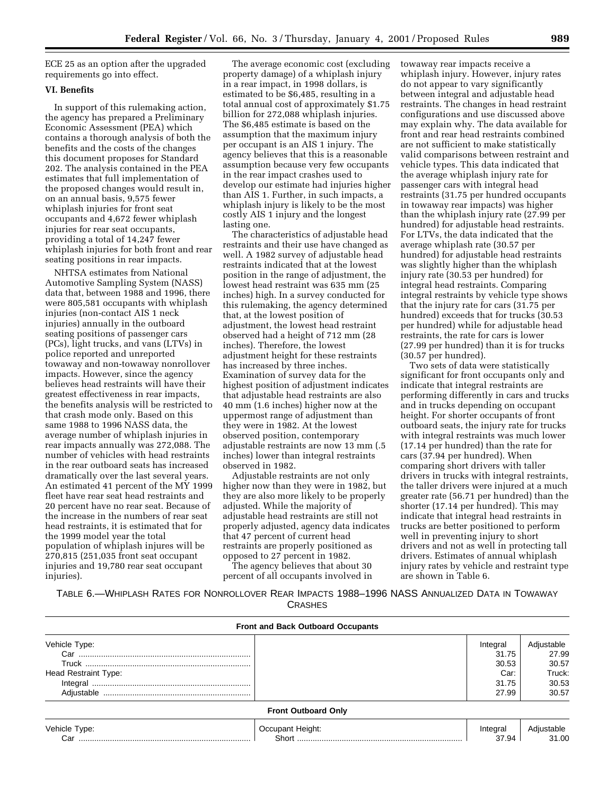ECE 25 as an option after the upgraded requirements go into effect.

# **VI. Benefits**

In support of this rulemaking action, the agency has prepared a Preliminary Economic Assessment (PEA) which contains a thorough analysis of both the benefits and the costs of the changes this document proposes for Standard 202. The analysis contained in the PEA estimates that full implementation of the proposed changes would result in, on an annual basis, 9,575 fewer whiplash injuries for front seat occupants and 4,672 fewer whiplash injuries for rear seat occupants, providing a total of 14,247 fewer whiplash injuries for both front and rear seating positions in rear impacts.

NHTSA estimates from National Automotive Sampling System (NASS) data that, between 1988 and 1996, there were 805,581 occupants with whiplash injuries (non-contact AIS 1 neck injuries) annually in the outboard seating positions of passenger cars (PCs), light trucks, and vans (LTVs) in police reported and unreported towaway and non-towaway nonrollover impacts. However, since the agency believes head restraints will have their greatest effectiveness in rear impacts, the benefits analysis will be restricted to that crash mode only. Based on this same 1988 to 1996 NASS data, the average number of whiplash injuries in rear impacts annually was 272,088. The number of vehicles with head restraints in the rear outboard seats has increased dramatically over the last several years. An estimated 41 percent of the MY 1999 fleet have rear seat head restraints and 20 percent have no rear seat. Because of the increase in the numbers of rear seat head restraints, it is estimated that for the 1999 model year the total population of whiplash injures will be 270,815 (251,035 front seat occupant injuries and 19,780 rear seat occupant injuries).

The average economic cost (excluding property damage) of a whiplash injury in a rear impact, in 1998 dollars, is estimated to be \$6,485, resulting in a total annual cost of approximately \$1.75 billion for 272,088 whiplash injuries. The \$6,485 estimate is based on the assumption that the maximum injury per occupant is an AIS 1 injury. The agency believes that this is a reasonable assumption because very few occupants in the rear impact crashes used to develop our estimate had injuries higher than AIS 1. Further, in such impacts, a whiplash injury is likely to be the most costly AIS 1 injury and the longest lasting one.

The characteristics of adjustable head restraints and their use have changed as well. A 1982 survey of adjustable head restraints indicated that at the lowest position in the range of adjustment, the lowest head restraint was 635 mm (25 inches) high. In a survey conducted for this rulemaking, the agency determined that, at the lowest position of adjustment, the lowest head restraint observed had a height of 712 mm (28 inches). Therefore, the lowest adjustment height for these restraints has increased by three inches. Examination of survey data for the highest position of adjustment indicates that adjustable head restraints are also 40 mm (1.6 inches) higher now at the uppermost range of adjustment than they were in 1982. At the lowest observed position, contemporary adjustable restraints are now 13 mm (.5 inches) lower than integral restraints observed in 1982.

Adjustable restraints are not only higher now than they were in 1982, but they are also more likely to be properly adjusted. While the majority of adjustable head restraints are still not properly adjusted, agency data indicates that 47 percent of current head restraints are properly positioned as opposed to 27 percent in 1982.

The agency believes that about 30 percent of all occupants involved in towaway rear impacts receive a whiplash injury. However, injury rates do not appear to vary significantly between integral and adjustable head restraints. The changes in head restraint configurations and use discussed above may explain why. The data available for front and rear head restraints combined are not sufficient to make statistically valid comparisons between restraint and vehicle types. This data indicated that the average whiplash injury rate for passenger cars with integral head restraints (31.75 per hundred occupants in towaway rear impacts) was higher than the whiplash injury rate (27.99 per hundred) for adjustable head restraints. For LTVs, the data indicated that the average whiplash rate (30.57 per hundred) for adjustable head restraints was slightly higher than the whiplash injury rate (30.53 per hundred) for integral head restraints. Comparing integral restraints by vehicle type shows that the injury rate for cars (31.75 per hundred) exceeds that for trucks (30.53 per hundred) while for adjustable head restraints, the rate for cars is lower (27.99 per hundred) than it is for trucks (30.57 per hundred).

Two sets of data were statistically significant for front occupants only and indicate that integral restraints are performing differently in cars and trucks and in trucks depending on occupant height. For shorter occupants of front outboard seats, the injury rate for trucks with integral restraints was much lower (17.14 per hundred) than the rate for cars (37.94 per hundred). When comparing short drivers with taller drivers in trucks with integral restraints, the taller drivers were injured at a much greater rate (56.71 per hundred) than the shorter (17.14 per hundred). This may indicate that integral head restraints in trucks are better positioned to perform well in preventing injury to short drivers and not as well in protecting tall drivers. Estimates of annual whiplash injury rates by vehicle and restraint type are shown in Table 6.

TABLE 6.—WHIPLASH RATES FOR NONROLLOVER REAR IMPACTS 1988–1996 NASS ANNUALIZED DATA IN TOWAWAY **CRASHES** 

|                      | <b>Front and Back Outboard Occupants</b> |          |                     |
|----------------------|------------------------------------------|----------|---------------------|
| Vehicle Type:        |                                          | Integral | Adjustable          |
|                      |                                          | 31.75    | 27.99               |
|                      |                                          | 30.53    | 30.57               |
| Head Restraint Type: |                                          | Car:     | Truck:              |
|                      |                                          | 31.75    | 30.53               |
|                      |                                          | 27.99    | 30.57               |
|                      | <b>Front Outboard Only</b>               |          |                     |
| Vehicle Type:        | Occupant Height:                         | Integral | Adjustable<br>31.00 |
| Car                  |                                          | 37.94    |                     |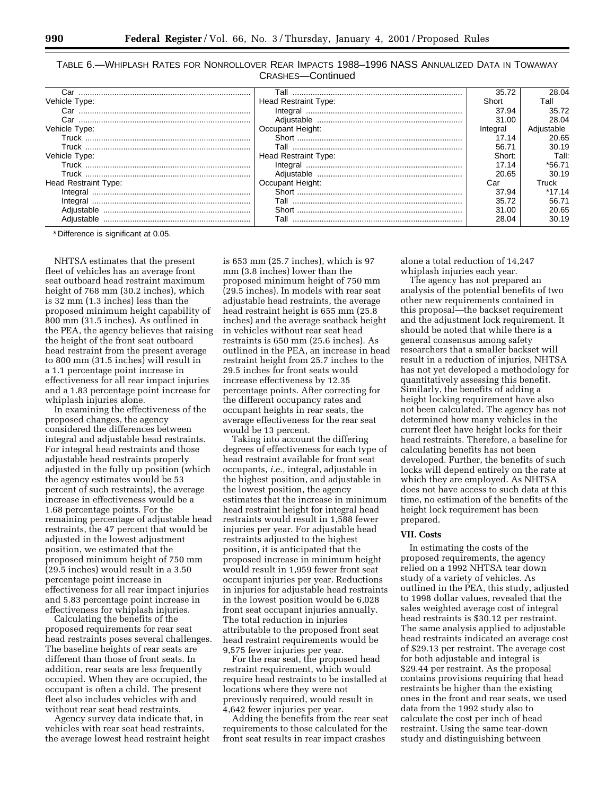| TABLE 6.—WHIPLASH RATES FOR NONROLLOVER REAR IMPACTS 1988-1996 NASS ANNUALIZED DATA IN TOWAWAY |  |
|------------------------------------------------------------------------------------------------|--|
| CRASHES-Continued                                                                              |  |

|                                |                             | 35.72    | 28.04      |
|--------------------------------|-----------------------------|----------|------------|
| Vehicle Type:                  | <b>Head Restraint Type:</b> | Short    | Tall       |
| Car                            |                             | 37.94    | 35.72      |
|                                |                             | 31.00    | 28.04      |
| Vehicle Type:                  | Occupant Height:            | Integral | Adiustable |
|                                |                             | 17.14    | 20.65      |
|                                |                             | 56.71    | 30.19      |
| Vehicle Type:                  | Head Restraint Type:        | Short:   | Tall:      |
|                                |                             | 17.14    | *56.71     |
| Truck ……………………………………………………………… |                             | 20.65    | 30.19      |
| <b>Head Restraint Type:</b>    | Occupant Height:            | Car      | Truck      |
|                                |                             | 37.94    | *17.14     |
|                                |                             | 35.72    | 56.71      |
|                                |                             | 31.00    | 20.65      |
|                                | Tall                        | 28.04    | 30.19      |

\* Difference is significant at 0.05.

NHTSA estimates that the present fleet of vehicles has an average front seat outboard head restraint maximum height of 768 mm (30.2 inches), which is 32 mm (1.3 inches) less than the proposed minimum height capability of 800 mm (31.5 inches). As outlined in the PEA, the agency believes that raising the height of the front seat outboard head restraint from the present average to 800 mm (31.5 inches) will result in a 1.1 percentage point increase in effectiveness for all rear impact injuries and a 1.83 percentage point increase for whiplash injuries alone.

In examining the effectiveness of the proposed changes, the agency considered the differences between integral and adjustable head restraints. For integral head restraints and those adjustable head restraints properly adjusted in the fully up position (which the agency estimates would be 53 percent of such restraints), the average increase in effectiveness would be a 1.68 percentage points. For the remaining percentage of adjustable head restraints, the 47 percent that would be adjusted in the lowest adjustment position, we estimated that the proposed minimum height of 750 mm (29.5 inches) would result in a 3.50 percentage point increase in effectiveness for all rear impact injuries and 5.83 percentage point increase in effectiveness for whiplash injuries.

Calculating the benefits of the proposed requirements for rear seat head restraints poses several challenges. The baseline heights of rear seats are different than those of front seats. In addition, rear seats are less frequently occupied. When they are occupied, the occupant is often a child. The present fleet also includes vehicles with and without rear seat head restraints.

Agency survey data indicate that, in vehicles with rear seat head restraints, the average lowest head restraint height

is 653 mm (25.7 inches), which is 97 mm (3.8 inches) lower than the proposed minimum height of 750 mm (29.5 inches). In models with rear seat adjustable head restraints, the average head restraint height is 655 mm (25.8 inches) and the average seatback height in vehicles without rear seat head restraints is 650 mm (25.6 inches). As outlined in the PEA, an increase in head restraint height from 25.7 inches to the 29.5 inches for front seats would increase effectiveness by 12.35 percentage points. After correcting for the different occupancy rates and occupant heights in rear seats, the average effectiveness for the rear seat would be 13 percent.

Taking into account the differing degrees of effectiveness for each type of head restraint available for front seat occupants, *i.e.,* integral, adjustable in the highest position, and adjustable in the lowest position, the agency estimates that the increase in minimum head restraint height for integral head restraints would result in 1,588 fewer injuries per year. For adjustable head restraints adjusted to the highest position, it is anticipated that the proposed increase in minimum height would result in 1,959 fewer front seat occupant injuries per year. Reductions in injuries for adjustable head restraints in the lowest position would be 6,028 front seat occupant injuries annually. The total reduction in injuries attributable to the proposed front seat head restraint requirements would be 9,575 fewer injuries per year.

For the rear seat, the proposed head restraint requirement, which would require head restraints to be installed at locations where they were not previously required, would result in 4,642 fewer injuries per year.

Adding the benefits from the rear seat requirements to those calculated for the front seat results in rear impact crashes

alone a total reduction of 14,247 whiplash injuries each year.

The agency has not prepared an analysis of the potential benefits of two other new requirements contained in this proposal—the backset requirement and the adjustment lock requirement. It should be noted that while there is a general consensus among safety researchers that a smaller backset will result in a reduction of injuries, NHTSA has not yet developed a methodology for quantitatively assessing this benefit. Similarly, the benefits of adding a height locking requirement have also not been calculated. The agency has not determined how many vehicles in the current fleet have height locks for their head restraints. Therefore, a baseline for calculating benefits has not been developed. Further, the benefits of such locks will depend entirely on the rate at which they are employed. As NHTSA does not have access to such data at this time, no estimation of the benefits of the height lock requirement has been prepared.

#### **VII. Costs**

In estimating the costs of the proposed requirements, the agency relied on a 1992 NHTSA tear down study of a variety of vehicles. As outlined in the PEA, this study, adjusted to 1998 dollar values, revealed that the sales weighted average cost of integral head restraints is \$30.12 per restraint. The same analysis applied to adjustable head restraints indicated an average cost of \$29.13 per restraint. The average cost for both adjustable and integral is \$29.44 per restraint. As the proposal contains provisions requiring that head restraints be higher than the existing ones in the front and rear seats, we used data from the 1992 study also to calculate the cost per inch of head restraint. Using the same tear-down study and distinguishing between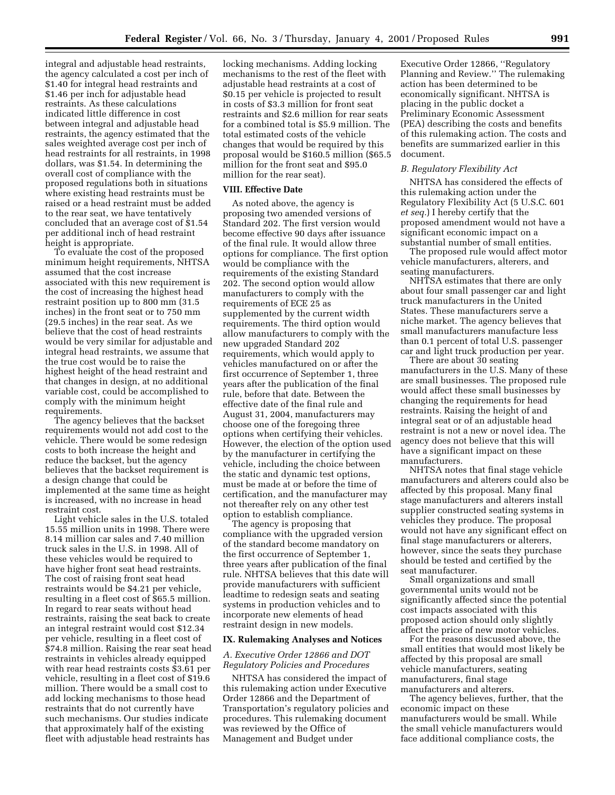integral and adjustable head restraints, the agency calculated a cost per inch of \$1.40 for integral head restraints and \$1.46 per inch for adjustable head restraints. As these calculations indicated little difference in cost between integral and adjustable head restraints, the agency estimated that the sales weighted average cost per inch of head restraints for all restraints, in 1998 dollars, was \$1.54. In determining the overall cost of compliance with the proposed regulations both in situations where existing head restraints must be raised or a head restraint must be added to the rear seat, we have tentatively concluded that an average cost of \$1.54 per additional inch of head restraint height is appropriate.

To evaluate the cost of the proposed minimum height requirements, NHTSA assumed that the cost increase associated with this new requirement is the cost of increasing the highest head restraint position up to 800 mm (31.5 inches) in the front seat or to 750 mm (29.5 inches) in the rear seat. As we believe that the cost of head restraints would be very similar for adjustable and integral head restraints, we assume that the true cost would be to raise the highest height of the head restraint and that changes in design, at no additional variable cost, could be accomplished to comply with the minimum height requirements.

The agency believes that the backset requirements would not add cost to the vehicle. There would be some redesign costs to both increase the height and reduce the backset, but the agency believes that the backset requirement is a design change that could be implemented at the same time as height is increased, with no increase in head restraint cost.

Light vehicle sales in the U.S. totaled 15.55 million units in 1998. There were 8.14 million car sales and 7.40 million truck sales in the U.S. in 1998. All of these vehicles would be required to have higher front seat head restraints. The cost of raising front seat head restraints would be \$4.21 per vehicle, resulting in a fleet cost of \$65.5 million. In regard to rear seats without head restraints, raising the seat back to create an integral restraint would cost \$12.34 per vehicle, resulting in a fleet cost of \$74.8 million. Raising the rear seat head restraints in vehicles already equipped with rear head restraints costs \$3.61 per vehicle, resulting in a fleet cost of \$19.6 million. There would be a small cost to add locking mechanisms to those head restraints that do not currently have such mechanisms. Our studies indicate that approximately half of the existing fleet with adjustable head restraints has

locking mechanisms. Adding locking mechanisms to the rest of the fleet with adjustable head restraints at a cost of \$0.15 per vehicle is projected to result in costs of \$3.3 million for front seat restraints and \$2.6 million for rear seats for a combined total is \$5.9 million. The total estimated costs of the vehicle changes that would be required by this proposal would be \$160.5 million (\$65.5 million for the front seat and \$95.0 million for the rear seat).

#### **VIII. Effective Date**

As noted above, the agency is proposing two amended versions of Standard 202. The first version would become effective 90 days after issuance of the final rule. It would allow three options for compliance. The first option would be compliance with the requirements of the existing Standard 202. The second option would allow manufacturers to comply with the requirements of ECE 25 as supplemented by the current width requirements. The third option would allow manufacturers to comply with the new upgraded Standard 202 requirements, which would apply to vehicles manufactured on or after the first occurrence of September 1, three years after the publication of the final rule, before that date. Between the effective date of the final rule and August 31, 2004, manufacturers may choose one of the foregoing three options when certifying their vehicles. However, the election of the option used by the manufacturer in certifying the vehicle, including the choice between the static and dynamic test options, must be made at or before the time of certification, and the manufacturer may not thereafter rely on any other test option to establish compliance.

The agency is proposing that compliance with the upgraded version of the standard become mandatory on the first occurrence of September 1, three years after publication of the final rule. NHTSA believes that this date will provide manufacturers with sufficient leadtime to redesign seats and seating systems in production vehicles and to incorporate new elements of head restraint design in new models.

#### **IX. Rulemaking Analyses and Notices**

#### *A. Executive Order 12866 and DOT Regulatory Policies and Procedures*

NHTSA has considered the impact of this rulemaking action under Executive Order 12866 and the Department of Transportation's regulatory policies and procedures. This rulemaking document was reviewed by the Office of Management and Budget under

Executive Order 12866, ''Regulatory Planning and Review.'' The rulemaking action has been determined to be economically significant. NHTSA is placing in the public docket a Preliminary Economic Assessment (PEA) describing the costs and benefits of this rulemaking action. The costs and benefits are summarized earlier in this document.

#### *B. Regulatory Flexibility Act*

NHTSA has considered the effects of this rulemaking action under the Regulatory Flexibility Act (5 U.S.C. 601 *et seq.*) I hereby certify that the proposed amendment would not have a significant economic impact on a substantial number of small entities.

The proposed rule would affect motor vehicle manufacturers, alterers, and seating manufacturers.

NHTSA estimates that there are only about four small passenger car and light truck manufacturers in the United States. These manufacturers serve a niche market. The agency believes that small manufacturers manufacture less than 0.1 percent of total U.S. passenger car and light truck production per year.

There are about 30 seating manufacturers in the U.S. Many of these are small businesses. The proposed rule would affect these small businesses by changing the requirements for head restraints. Raising the height of and integral seat or of an adjustable head restraint is not a new or novel idea. The agency does not believe that this will have a significant impact on these manufacturers.

NHTSA notes that final stage vehicle manufacturers and alterers could also be affected by this proposal. Many final stage manufacturers and alterers install supplier constructed seating systems in vehicles they produce. The proposal would not have any significant effect on final stage manufacturers or alterers, however, since the seats they purchase should be tested and certified by the seat manufacturer.

Small organizations and small governmental units would not be significantly affected since the potential cost impacts associated with this proposed action should only slightly affect the price of new motor vehicles.

For the reasons discussed above, the small entities that would most likely be affected by this proposal are small vehicle manufacturers, seating manufacturers, final stage manufacturers and alterers.

The agency believes, further, that the economic impact on these manufacturers would be small. While the small vehicle manufacturers would face additional compliance costs, the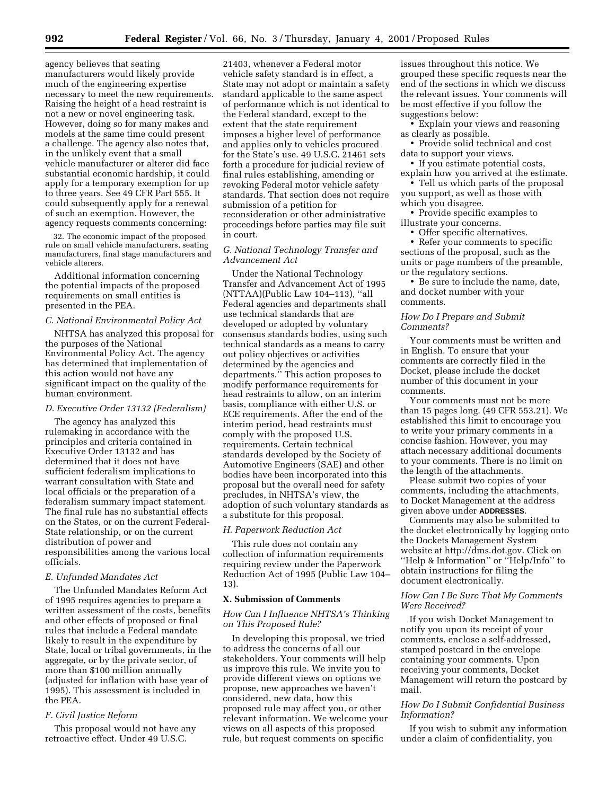agency believes that seating manufacturers would likely provide much of the engineering expertise necessary to meet the new requirements. Raising the height of a head restraint is not a new or novel engineering task. However, doing so for many makes and models at the same time could present a challenge. The agency also notes that, in the unlikely event that a small vehicle manufacturer or alterer did face substantial economic hardship, it could apply for a temporary exemption for up to three years. See 49 CFR Part 555. It could subsequently apply for a renewal of such an exemption. However, the agency requests comments concerning:

32. The economic impact of the proposed rule on small vehicle manufacturers, seating manufacturers, final stage manufacturers and vehicle alterers.

Additional information concerning the potential impacts of the proposed requirements on small entities is presented in the PEA.

# *C. National Environmental Policy Act*

NHTSA has analyzed this proposal for the purposes of the National Environmental Policy Act. The agency has determined that implementation of this action would not have any significant impact on the quality of the human environment.

#### *D. Executive Order 13132 (Federalism)*

The agency has analyzed this rulemaking in accordance with the principles and criteria contained in Executive Order 13132 and has determined that it does not have sufficient federalism implications to warrant consultation with State and local officials or the preparation of a federalism summary impact statement. The final rule has no substantial effects on the States, or on the current Federal-State relationship, or on the current distribution of power and responsibilities among the various local officials.

#### *E. Unfunded Mandates Act*

The Unfunded Mandates Reform Act of 1995 requires agencies to prepare a written assessment of the costs, benefits and other effects of proposed or final rules that include a Federal mandate likely to result in the expenditure by State, local or tribal governments, in the aggregate, or by the private sector, of more than \$100 million annually (adjusted for inflation with base year of 1995). This assessment is included in the PEA.

#### *F. Civil Justice Reform*

This proposal would not have any retroactive effect. Under 49 U.S.C.

21403, whenever a Federal motor vehicle safety standard is in effect, a State may not adopt or maintain a safety standard applicable to the same aspect of performance which is not identical to the Federal standard, except to the extent that the state requirement imposes a higher level of performance and applies only to vehicles procured for the State's use. 49 U.S.C. 21461 sets forth a procedure for judicial review of final rules establishing, amending or revoking Federal motor vehicle safety standards. That section does not require submission of a petition for reconsideration or other administrative proceedings before parties may file suit in court.

# *G. National Technology Transfer and Advancement Act*

Under the National Technology Transfer and Advancement Act of 1995 (NTTAA)(Public Law 104–113), ''all Federal agencies and departments shall use technical standards that are developed or adopted by voluntary consensus standards bodies, using such technical standards as a means to carry out policy objectives or activities determined by the agencies and departments.'' This action proposes to modify performance requirements for head restraints to allow, on an interim basis, compliance with either U.S. or ECE requirements. After the end of the interim period, head restraints must comply with the proposed U.S. requirements. Certain technical standards developed by the Society of Automotive Engineers (SAE) and other bodies have been incorporated into this proposal but the overall need for safety precludes, in NHTSA's view, the adoption of such voluntary standards as a substitute for this proposal.

#### *H. Paperwork Reduction Act*

This rule does not contain any collection of information requirements requiring review under the Paperwork Reduction Act of 1995 (Public Law 104– 13).

#### **X. Submission of Comments**

#### *How Can I Influence NHTSA's Thinking on This Proposed Rule?*

In developing this proposal, we tried to address the concerns of all our stakeholders. Your comments will help us improve this rule. We invite you to provide different views on options we propose, new approaches we haven't considered, new data, how this proposed rule may affect you, or other relevant information. We welcome your views on all aspects of this proposed rule, but request comments on specific

issues throughout this notice. We grouped these specific requests near the end of the sections in which we discuss the relevant issues. Your comments will be most effective if you follow the suggestions below:

• Explain your views and reasoning as clearly as possible.

• Provide solid technical and cost data to support your views.

- If you estimate potential costs,
- explain how you arrived at the estimate. • Tell us which parts of the proposal
- you support, as well as those with which you disagree.
- Provide specific examples to illustrate your concerns.
	- Offer specific alternatives.

• Refer your comments to specific sections of the proposal, such as the units or page numbers of the preamble, or the regulatory sections.

• Be sure to include the name, date, and docket number with your comments.

#### *How Do I Prepare and Submit Comments?*

Your comments must be written and in English. To ensure that your comments are correctly filed in the Docket, please include the docket number of this document in your comments.

Your comments must not be more than 15 pages long. (49 CFR 553.21). We established this limit to encourage you to write your primary comments in a concise fashion. However, you may attach necessary additional documents to your comments. There is no limit on the length of the attachments.

Please submit two copies of your comments, including the attachments, to Docket Management at the address given above under **ADDRESSES**.

Comments may also be submitted to the docket electronically by logging onto the Dockets Management System website at http://dms.dot.gov. Click on ''Help & Information'' or ''Help/Info'' to obtain instructions for filing the document electronically.

# *How Can I Be Sure That My Comments Were Received?*

If you wish Docket Management to notify you upon its receipt of your comments, enclose a self-addressed, stamped postcard in the envelope containing your comments. Upon receiving your comments, Docket Management will return the postcard by mail.

# *How Do I Submit Confidential Business Information?*

If you wish to submit any information under a claim of confidentiality, you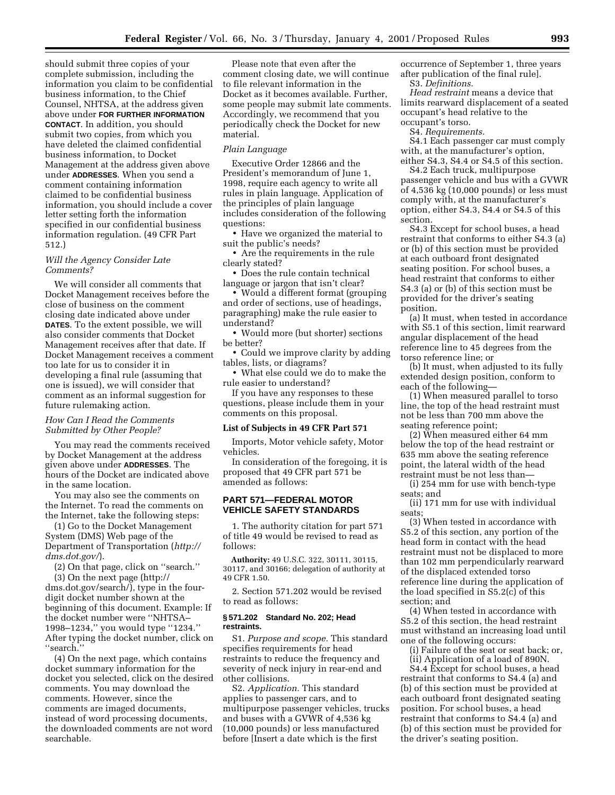should submit three copies of your complete submission, including the information you claim to be confidential business information, to the Chief Counsel, NHTSA, at the address given above under **FOR FURTHER INFORMATION CONTACT**. In addition, you should submit two copies, from which you have deleted the claimed confidential business information, to Docket Management at the address given above under **ADDRESSES**. When you send a comment containing information claimed to be confidential business information, you should include a cover letter setting forth the information specified in our confidential business information regulation. (49 CFR Part 512.)

# *Will the Agency Consider Late Comments?*

We will consider all comments that Docket Management receives before the close of business on the comment closing date indicated above under **DATES**. To the extent possible, we will also consider comments that Docket Management receives after that date. If Docket Management receives a comment too late for us to consider it in developing a final rule (assuming that one is issued), we will consider that comment as an informal suggestion for future rulemaking action.

#### *How Can I Read the Comments Submitted by Other People?*

You may read the comments received by Docket Management at the address given above under **ADDRESSES**. The hours of the Docket are indicated above in the same location.

You may also see the comments on the Internet. To read the comments on the Internet, take the following steps:

(1) Go to the Docket Management System (DMS) Web page of the Department of Transportation (*http:// dms.dot.gov/*).

(2) On that page, click on ''search.''

(3) On the next page (http:// dms.dot.gov/search/), type in the fourdigit docket number shown at the beginning of this document. Example: If the docket number were ''NHTSA– 1998–1234,'' you would type ''1234.'' After typing the docket number, click on ''search.''

(4) On the next page, which contains docket summary information for the docket you selected, click on the desired comments. You may download the comments. However, since the comments are imaged documents, instead of word processing documents, the downloaded comments are not word searchable.

Please note that even after the comment closing date, we will continue to file relevant information in the Docket as it becomes available. Further, some people may submit late comments. Accordingly, we recommend that you periodically check the Docket for new material.

#### *Plain Language*

Executive Order 12866 and the President's memorandum of June 1, 1998, require each agency to write all rules in plain language. Application of the principles of plain language includes consideration of the following questions:

• Have we organized the material to suit the public's needs?

• Are the requirements in the rule clearly stated?

• Does the rule contain technical language or jargon that isn't clear?

• Would a different format (grouping and order of sections, use of headings, paragraphing) make the rule easier to understand?

• Would more (but shorter) sections be better?

• Could we improve clarity by adding tables, lists, or diagrams?

• What else could we do to make the rule easier to understand?

If you have any responses to these questions, please include them in your comments on this proposal.

#### **List of Subjects in 49 CFR Part 571**

Imports, Motor vehicle safety, Motor vehicles.

In consideration of the foregoing, it is proposed that 49 CFR part 571 be amended as follows:

# **PART 571—FEDERAL MOTOR VEHICLE SAFETY STANDARDS**

1. The authority citation for part 571 of title 49 would be revised to read as follows:

**Authority:** 49 U.S.C. 322, 30111, 30115, 30117, and 30166; delegation of authority at 49 CFR 1.50.

2. Section 571.202 would be revised to read as follows:

#### **§ 571.202 Standard No. 202; Head restraints.**

S1. *Purpose and scope.* This standard specifies requirements for head restraints to reduce the frequency and severity of neck injury in rear-end and other collisions.

S2. *Application.* This standard applies to passenger cars, and to multipurpose passenger vehicles, trucks and buses with a GVWR of 4,536 kg (10,000 pounds) or less manufactured before [Insert a date which is the first

occurrence of September 1, three years after publication of the final rule]. S3. *Definitions.*

*Head restraint* means a device that limits rearward displacement of a seated occupant's head relative to the occupant's torso.

S4. *Requirements.*

S4.1 Each passenger car must comply with, at the manufacturer's option, either S4.3, S4.4 or S4.5 of this section.

S4.2 Each truck, multipurpose passenger vehicle and bus with a GVWR of 4,536 kg (10,000 pounds) or less must comply with, at the manufacturer's option, either S4.3, S4.4 or S4.5 of this section.

S4.3 Except for school buses, a head restraint that conforms to either S4.3 (a) or (b) of this section must be provided at each outboard front designated seating position. For school buses, a head restraint that conforms to either S4.3 (a) or (b) of this section must be provided for the driver's seating position.

(a) It must, when tested in accordance with S5.1 of this section, limit rearward angular displacement of the head reference line to 45 degrees from the torso reference line; or

(b) It must, when adjusted to its fully extended design position, conform to each of the following—

(1) When measured parallel to torso line, the top of the head restraint must not be less than 700 mm above the seating reference point;

(2) When measured either 64 mm below the top of the head restraint or 635 mm above the seating reference point, the lateral width of the head restraint must be not less than—

(i) 254 mm for use with bench-type seats; and

(ii) 171 mm for use with individual seats;

(3) When tested in accordance with S5.2 of this section, any portion of the head form in contact with the head restraint must not be displaced to more than 102 mm perpendicularly rearward of the displaced extended torso reference line during the application of the load specified in S5.2(c) of this section; and

(4) When tested in accordance with S5.2 of this section, the head restraint must withstand an increasing load until one of the following occurs:

(i) Failure of the seat or seat back; or, (ii) Application of a load of 890N.

S4.4 Except for school buses, a head restraint that conforms to S4.4 (a) and (b) of this section must be provided at each outboard front designated seating position. For school buses, a head restraint that conforms to S4.4 (a) and (b) of this section must be provided for the driver's seating position.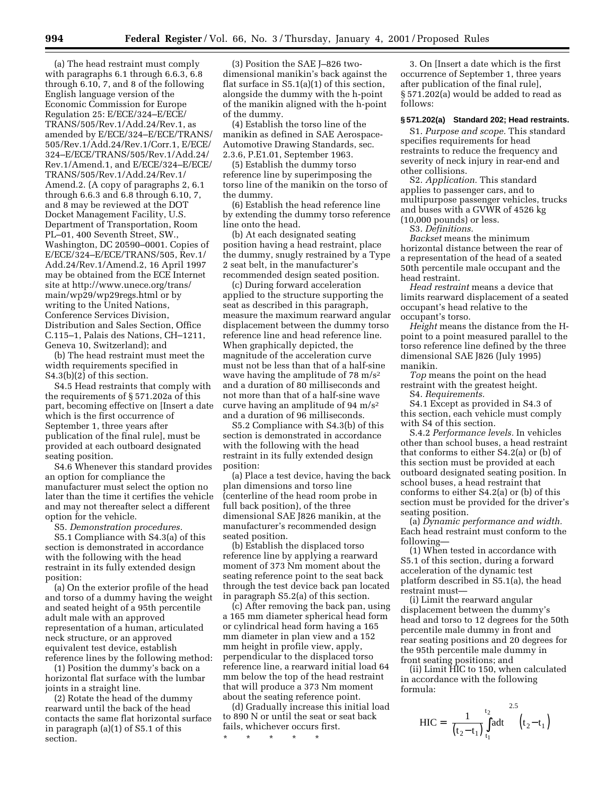(a) The head restraint must comply with paragraphs 6.1 through 6.6.3, 6.8 through 6.10, 7, and 8 of the following English language version of the Economic Commission for Europe Regulation 25: E/ECE/324–E/ECE/ TRANS/505/Rev.1/Add.24/Rev.1, as amended by E/ECE/324–E/ECE/TRANS/ 505/Rev.1/Add.24/Rev.1/Corr.1, E/ECE/ 324–E/ECE/TRANS/505/Rev.1/Add.24/ Rev.1/Amend.1, and E/ECE/324–E/ECE/ TRANS/505/Rev.1/Add.24/Rev.1/ Amend.2. (A copy of paragraphs 2, 6.1 through 6.6.3 and 6.8 through 6.10, 7, and 8 may be reviewed at the DOT Docket Management Facility, U.S. Department of Transportation, Room PL–01, 400 Seventh Street, SW., Washington, DC 20590–0001. Copies of E/ECE/324–E/ECE/TRANS/505, Rev.1/ Add.24/Rev.1/Amend.2, 16 April 1997 may be obtained from the ECE Internet site at http://www.unece.org/trans/ main/wp29/wp29regs.html or by writing to the United Nations, Conference Services Division, Distribution and Sales Section, Office C.115–1, Palais des Nations, CH–1211, Geneva 10, Switzerland); and

(b) The head restraint must meet the width requirements specified in S4.3(b)(2) of this section.

S4.5 Head restraints that comply with the requirements of § 571.202a of this part, becoming effective on [Insert a date which is the first occurrence of September 1, three years after publication of the final rule], must be provided at each outboard designated seating position.

S4.6 Whenever this standard provides an option for compliance the manufacturer must select the option no later than the time it certifies the vehicle and may not thereafter select a different option for the vehicle.

S5. *Demonstration procedures.*

S5.1 Compliance with S4.3(a) of this section is demonstrated in accordance with the following with the head restraint in its fully extended design position:

(a) On the exterior profile of the head and torso of a dummy having the weight and seated height of a 95th percentile adult male with an approved representation of a human, articulated neck structure, or an approved equivalent test device, establish reference lines by the following method:

(1) Position the dummy's back on a horizontal flat surface with the lumbar joints in a straight line.

(2) Rotate the head of the dummy rearward until the back of the head contacts the same flat horizontal surface in paragraph (a)(1) of S5.1 of this section.

(3) Position the SAE J–826 twodimensional manikin's back against the flat surface in S5.1(a)(1) of this section, alongside the dummy with the h-point of the manikin aligned with the h-point of the dummy.

(4) Establish the torso line of the manikin as defined in SAE Aerospace-Automotive Drawing Standards, sec. 2.3.6, P.E1.01, September 1963.

(5) Establish the dummy torso reference line by superimposing the torso line of the manikin on the torso of the dummy.

(6) Establish the head reference line by extending the dummy torso reference line onto the head.

(b) At each designated seating position having a head restraint, place the dummy, snugly restrained by a Type 2 seat belt, in the manufacturer's recommended design seated position.

(c) During forward acceleration applied to the structure supporting the seat as described in this paragraph, measure the maximum rearward angular displacement between the dummy torso reference line and head reference line. When graphically depicted, the magnitude of the acceleration curve must not be less than that of a half-sine wave having the amplitude of 78 m/s2 and a duration of 80 milliseconds and not more than that of a half-sine wave curve having an amplitude of 94 m/s2 and a duration of 96 milliseconds.

S5.2 Compliance with S4.3(b) of this section is demonstrated in accordance with the following with the head restraint in its fully extended design position:

(a) Place a test device, having the back plan dimensions and torso line (centerline of the head room probe in full back position), of the three dimensional SAE J826 manikin, at the manufacturer's recommended design seated position.

(b) Establish the displaced torso reference line by applying a rearward moment of 373 Nm moment about the seating reference point to the seat back through the test device back pan located in paragraph S5.2(a) of this section.

(c) After removing the back pan, using a 165 mm diameter spherical head form or cylindrical head form having a 165 mm diameter in plan view and a 152 mm height in profile view, apply, perpendicular to the displaced torso reference line, a rearward initial load 64 mm below the top of the head restraint that will produce a 373 Nm moment about the seating reference point.

(d) Gradually increase this initial load to 890 N or until the seat or seat back fails, whichever occurs first.

\* \* \* \* \*

3. On [Insert a date which is the first occurrence of September 1, three years after publication of the final rule], § 571.202(a) would be added to read as follows:

# **§ 571.202(a) Standard 202; Head restraints.**

S1. *Purpose and scope.* This standard specifies requirements for head restraints to reduce the frequency and severity of neck injury in rear-end and other collisions.

S2. *Application.* This standard applies to passenger cars, and to multipurpose passenger vehicles, trucks and buses with a GVWR of 4526 kg (10,000 pounds) or less.

S3. *Definitions.*

*Backset* means the minimum horizontal distance between the rear of a representation of the head of a seated 50th percentile male occupant and the head restraint.

*Head restraint* means a device that limits rearward displacement of a seated occupant's head relative to the occupant's torso.

*Height* means the distance from the Hpoint to a point measured parallel to the torso reference line defined by the three dimensional SAE J826 (July 1995) manikin.

*Top* means the point on the head restraint with the greatest height.

S4. *Requirements.*

S4.1 Except as provided in S4.3 of this section, each vehicle must comply with S4 of this section.

S.4.2 *Performance levels.* In vehicles other than school buses, a head restraint that conforms to either S4.2(a) or (b) of this section must be provided at each outboard designated seating position. In school buses, a head restraint that conforms to either S4.2(a) or (b) of this section must be provided for the driver's seating position.

(a) *Dynamic performance and width.* Each head restraint must conform to the following—

(1) When tested in accordance with S5.1 of this section, during a forward acceleration of the dynamic test platform described in S5.1(a), the head restraint must—

(i) Limit the rearward angular displacement between the dummy's head and torso to 12 degrees for the 50th percentile male dummy in front and rear seating positions and 20 degrees for the 95th percentile male dummy in front seating positions; and

(ii) Limit HIC to 150, when calculated in accordance with the following formula:

$$
HIC = \left[ \frac{1}{(t_2 - t_1)} \int_{t_1}^{t_2} a dt \right]^{2.5} (t_2 - t_1)
$$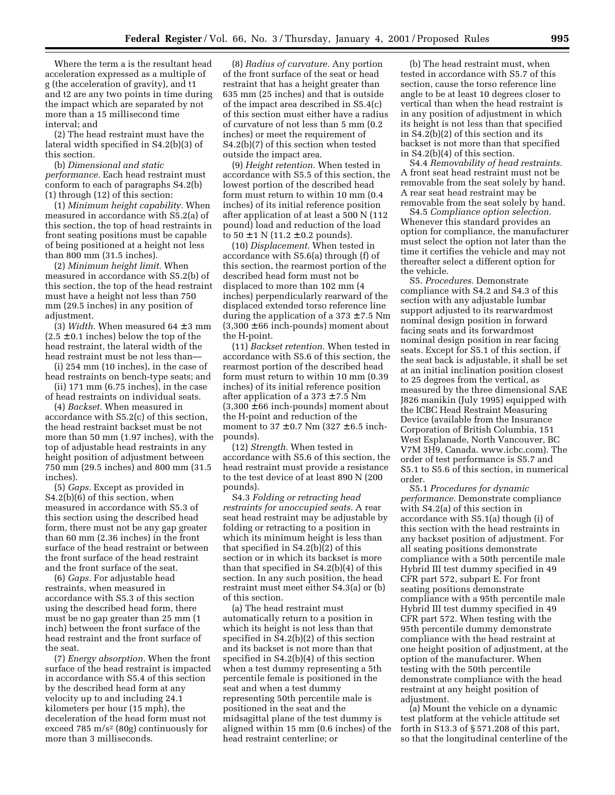Where the term a is the resultant head acceleration expressed as a multiple of g (the acceleration of gravity), and t1 and t2 are any two points in time during the impact which are separated by not more than a 15 millisecond time interval; and

(2) The head restraint must have the lateral width specified in S4.2(b)(3) of this section.

(b) *Dimensional and static performance.* Each head restraint must conform to each of paragraphs S4.2(b) (1) through (12) of this section:

(1) *Minimum height capability.* When measured in accordance with S5.2(a) of this section, the top of head restraints in front seating positions must be capable of being positioned at a height not less than 800 mm (31.5 inches).

(2) *Minimum height limit.* When measured in accordance with S5.2(b) of this section, the top of the head restraint must have a height not less than 750 mm (29.5 inches) in any position of adjustment.

(3) *Width.* When measured  $64 \pm 3$  mm  $(2.5 \pm 0.1 \text{ inches})$  below the top of the head restraint, the lateral width of the head restraint must be not less than—

(i) 254 mm (10 inches), in the case of head restraints on bench-type seats; and

(ii) 171 mm (6.75 inches), in the case of head restraints on individual seats.

(4) *Backset.* When measured in accordance with S5.2(c) of this section, the head restraint backset must be not more than 50 mm (1.97 inches), with the top of adjustable head restraints in any height position of adjustment between 750 mm (29.5 inches) and 800 mm (31.5 inches).

(5) *Gaps.* Except as provided in S4.2(b)(6) of this section, when measured in accordance with S5.3 of this section using the described head form, there must not be any gap greater than 60 mm (2.36 inches) in the front surface of the head restraint or between the front surface of the head restraint and the front surface of the seat.

(6) *Gaps.* For adjustable head restraints, when measured in accordance with S5.3 of this section using the described head form, there must be no gap greater than 25 mm (1 inch) between the front surface of the head restraint and the front surface of the seat.

(7) *Energy absorption.* When the front surface of the head restraint is impacted in accordance with S5.4 of this section by the described head form at any velocity up to and including 24.1 kilometers per hour (15 mph), the deceleration of the head form must not exceed 785 m/s2 (80g) continuously for more than 3 milliseconds.

(8) *Radius of curvature.* Any portion of the front surface of the seat or head restraint that has a height greater than 635 mm (25 inches) and that is outside of the impact area described in S5.4(c) of this section must either have a radius of curvature of not less than 5 mm (0.2 inches) or meet the requirement of S4.2(b)(7) of this section when tested outside the impact area.

(9) *Height retention.* When tested in accordance with S5.5 of this section, the lowest portion of the described head form must return to within 10 mm (0.4 inches) of its initial reference position after application of at least a 500 N (112 pound) load and reduction of the load to  $50 \pm 1$  N (11.2  $\pm$  0.2 pounds).

(10) *Displacement.* When tested in accordance with S5.6(a) through (f) of this section, the rearmost portion of the described head form must not be displaced to more than 102 mm (4 inches) perpendicularly rearward of the displaced extended torso reference line during the application of a 373  $\pm$  7.5 Nm  $(3,300 \pm 66$  inch-pounds) moment about the H-point.

(11) *Backset retention.* When tested in accordance with S5.6 of this section, the rearmost portion of the described head form must return to within 10 mm (0.39 inches) of its initial reference position after application of a  $373 \pm 7.5$  Nm  $(3,300 \pm 66 \text{ inch-pounds})$  moment about the H-point and reduction of the moment to  $37 \pm 0.7$  Nm  $(327 \pm 6.5$  inchpounds).

(12) *Strength.* When tested in accordance with S5.6 of this section, the head restraint must provide a resistance to the test device of at least 890 N (200 pounds).

S4.3 *Folding or retracting head restraints for unoccupied seats.* A rear seat head restraint may be adjustable by folding or retracting to a position in which its minimum height is less than that specified in S4.2(b)(2) of this section or in which its backset is more than that specified in S4.2(b)(4) of this section. In any such position, the head restraint must meet either S4.3(a) or (b) of this section.

(a) The head restraint must automatically return to a position in which its height is not less than that specified in S4.2(b)(2) of this section and its backset is not more than that specified in S4.2(b)(4) of this section when a test dummy representing a 5th percentile female is positioned in the seat and when a test dummy representing 50th percentile male is positioned in the seat and the midsagittal plane of the test dummy is aligned within 15 mm (0.6 inches) of the head restraint centerline; or

(b) The head restraint must, when tested in accordance with S5.7 of this section, cause the torso reference line angle to be at least 10 degrees closer to vertical than when the head restraint is in any position of adjustment in which its height is not less than that specified in S4.2(b)(2) of this section and its backset is not more than that specified in S4.2(b)(4) of this section.

S4.4 *Removability of head restraints.* A front seat head restraint must not be removable from the seat solely by hand. A rear seat head restraint may be removable from the seat solely by hand.

S4.5 *Compliance option selection.* Whenever this standard provides an option for compliance, the manufacturer must select the option not later than the time it certifies the vehicle and may not thereafter select a different option for the vehicle.

S5. *Procedures.* Demonstrate compliance with S4.2 and S4.3 of this section with any adjustable lumbar support adjusted to its rearwardmost nominal design position in forward facing seats and its forwardmost nominal design position in rear facing seats. Except for S5.1 of this section, if the seat back is adjustable, it shall be set at an initial inclination position closest to 25 degrees from the vertical, as measured by the three dimensional SAE J826 manikin (July 1995) equipped with the ICBC Head Restraint Measuring Device (available from the Insurance Corporation of British Columbia, 151 West Esplanade, North Vancouver, BC V7M 3H9, Canada. www.icbc.com). The order of test performance is S5.7 and S5.1 to S5.6 of this section, in numerical order.

S5.1 *Procedures for dynamic performance.* Demonstrate compliance with S4.2(a) of this section in accordance with S5.1(a) though (i) of this section with the head restraints in any backset position of adjustment. For all seating positions demonstrate compliance with a 50th percentile male Hybrid III test dummy specified in 49 CFR part 572, subpart E. For front seating positions demonstrate compliance with a 95th percentile male Hybrid III test dummy specified in 49 CFR part 572. When testing with the 95th percentile dummy demonstrate compliance with the head restraint at one height position of adjustment, at the option of the manufacturer. When testing with the 50th percentile demonstrate compliance with the head restraint at any height position of adjustment.

(a) Mount the vehicle on a dynamic test platform at the vehicle attitude set forth in S13.3 of § 571.208 of this part, so that the longitudinal centerline of the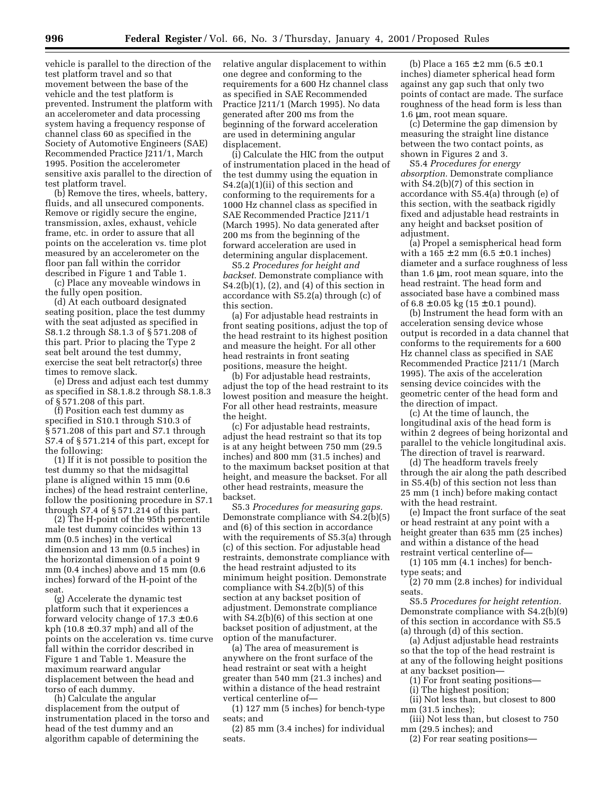vehicle is parallel to the direction of the test platform travel and so that movement between the base of the vehicle and the test platform is prevented. Instrument the platform with an accelerometer and data processing system having a frequency response of channel class 60 as specified in the Society of Automotive Engineers (SAE) Recommended Practice J211/1, March 1995. Position the accelerometer sensitive axis parallel to the direction of test platform travel.

(b) Remove the tires, wheels, battery, fluids, and all unsecured components. Remove or rigidly secure the engine, transmission, axles, exhaust, vehicle frame, etc. in order to assure that all points on the acceleration vs. time plot measured by an accelerometer on the floor pan fall within the corridor described in Figure 1 and Table 1.

(c) Place any moveable windows in the fully open position.

(d) At each outboard designated seating position, place the test dummy with the seat adjusted as specified in S8.1.2 through S8.1.3 of § 571.208 of this part. Prior to placing the Type 2 seat belt around the test dummy, exercise the seat belt retractor(s) three times to remove slack.

(e) Dress and adjust each test dummy as specified in S8.1.8.2 through S8.1.8.3 of § 571.208 of this part.

(f) Position each test dummy as specified in S10.1 through S10.3 of § 571.208 of this part and S7.1 through S7.4 of § 571.214 of this part, except for the following:

(1) If it is not possible to position the test dummy so that the midsagittal plane is aligned within 15 mm (0.6 inches) of the head restraint centerline, follow the positioning procedure in S7.1 through S7.4 of § 571.214 of this part.

(2) The H-point of the 95th percentile male test dummy coincides within 13 mm (0.5 inches) in the vertical dimension and 13 mm (0.5 inches) in the horizontal dimension of a point 9 mm (0.4 inches) above and 15 mm (0.6 inches) forward of the H-point of the seat.

(g) Accelerate the dynamic test platform such that it experiences a forward velocity change of  $17.3 \pm 0.6$ kph (10.8  $\pm$  0.37 mph) and all of the points on the acceleration vs. time curve fall within the corridor described in Figure 1 and Table 1. Measure the maximum rearward angular displacement between the head and torso of each dummy.

(h) Calculate the angular displacement from the output of instrumentation placed in the torso and head of the test dummy and an algorithm capable of determining the

relative angular displacement to within one degree and conforming to the requirements for a 600 Hz channel class as specified in SAE Recommended Practice J211/1 (March 1995). No data generated after 200 ms from the beginning of the forward acceleration are used in determining angular displacement.

(i) Calculate the HIC from the output of instrumentation placed in the head of the test dummy using the equation in S4.2(a)(1)(ii) of this section and conforming to the requirements for a 1000 Hz channel class as specified in SAE Recommended Practice J211/1 (March 1995). No data generated after 200 ms from the beginning of the forward acceleration are used in determining angular displacement.

S5.2 *Procedures for height and backset.* Demonstrate compliance with S4.2(b)(1), (2), and (4) of this section in accordance with S5.2(a) through (c) of this section.

(a) For adjustable head restraints in front seating positions, adjust the top of the head restraint to its highest position and measure the height. For all other head restraints in front seating positions, measure the height.

(b) For adjustable head restraints, adjust the top of the head restraint to its lowest position and measure the height. For all other head restraints, measure the height.

(c) For adjustable head restraints, adjust the head restraint so that its top is at any height between 750 mm (29.5 inches) and 800 mm (31.5 inches) and to the maximum backset position at that height, and measure the backset. For all other head restraints, measure the backset.

S5.3 *Procedures for measuring gaps.* Demonstrate compliance with S4.2(b)(5) and (6) of this section in accordance with the requirements of  $S5.3(a)$  through (c) of this section. For adjustable head restraints, demonstrate compliance with the head restraint adjusted to its minimum height position. Demonstrate compliance with S4.2(b)(5) of this section at any backset position of adjustment. Demonstrate compliance with S4.2(b)(6) of this section at one backset position of adjustment, at the option of the manufacturer.

(a) The area of measurement is anywhere on the front surface of the head restraint or seat with a height greater than 540 mm (21.3 inches) and within a distance of the head restraint vertical centerline of—

(1) 127 mm (5 inches) for bench-type seats; and

(2) 85 mm (3.4 inches) for individual seats.

(b) Place a  $165 \pm 2$  mm  $(6.5 \pm 0.1)$ inches) diameter spherical head form against any gap such that only two points of contact are made. The surface roughness of the head form is less than 1.6 µm, root mean square.

(c) Determine the gap dimension by measuring the straight line distance between the two contact points, as shown in Figures 2 and 3.

S5.4 *Procedures for energy absorption.* Demonstrate compliance with S4.2(b)(7) of this section in accordance with S5.4(a) through (e) of this section, with the seatback rigidly fixed and adjustable head restraints in any height and backset position of adjustment.

(a) Propel a semispherical head form with a  $165 \pm 2$  mm  $(6.5 \pm 0.1$  inches) diameter and a surface roughness of less than 1.6 µm, root mean square, into the head restraint. The head form and associated base have a combined mass of  $6.8 \pm 0.05$  kg  $(15 \pm 0.1$  pound).

(b) Instrument the head form with an acceleration sensing device whose output is recorded in a data channel that conforms to the requirements for a 600 Hz channel class as specified in SAE Recommended Practice J211/1 (March 1995). The axis of the acceleration sensing device coincides with the geometric center of the head form and the direction of impact.

(c) At the time of launch, the longitudinal axis of the head form is within 2 degrees of being horizontal and parallel to the vehicle longitudinal axis. The direction of travel is rearward.

(d) The headform travels freely through the air along the path described in S5.4(b) of this section not less than 25 mm (1 inch) before making contact with the head restraint.

(e) Impact the front surface of the seat or head restraint at any point with a height greater than 635 mm (25 inches) and within a distance of the head restraint vertical centerline of—

(1) 105 mm (4.1 inches) for benchtype seats; and

(2) 70 mm (2.8 inches) for individual seats.

S5.5 *Procedures for height retention.* Demonstrate compliance with S4.2(b)(9) of this section in accordance with S5.5 (a) through (d) of this section.

(a) Adjust adjustable head restraints so that the top of the head restraint is at any of the following height positions at any backset position—

(1) For front seating positions—

(i) The highest position;

(ii) Not less than, but closest to 800 mm (31.5 inches);

(iii) Not less than, but closest to 750 mm (29.5 inches); and

(2) For rear seating positions—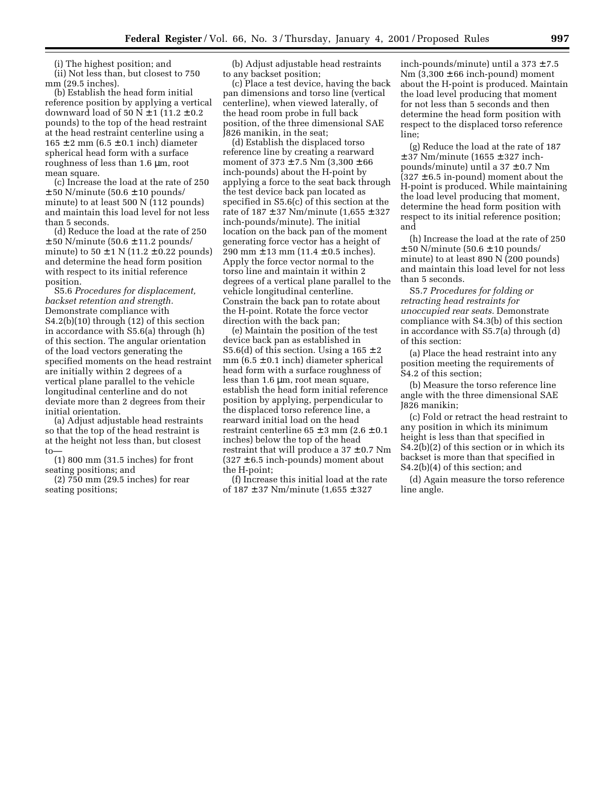(i) The highest position; and

(ii) Not less than, but closest to 750 mm (29.5 inches).

(b) Establish the head form initial reference position by applying a vertical downward load of  $50 N \pm 1$  (11.2  $\pm$  0.2 pounds) to the top of the head restraint at the head restraint centerline using a  $165 \pm 2$  mm  $(6.5 \pm 0.1$  inch) diameter spherical head form with a surface roughness of less than 1.6 µm, root mean square.

(c) Increase the load at the rate of 250  $\pm$  50 N/minute (50.6  $\pm$  10 pounds/ minute) to at least 500 N (112 pounds) and maintain this load level for not less than 5 seconds.

(d) Reduce the load at the rate of 250  $\pm$  50 N/minute (50.6  $\pm$  11.2 pounds/ minute) to  $50 \pm 1$  N (11.2  $\pm$  0.22 pounds) and determine the head form position with respect to its initial reference position.

S5.6 *Procedures for displacement, backset retention and strength.* Demonstrate compliance with S4.2(b)(10) through (12) of this section in accordance with S5.6(a) through (h) of this section. The angular orientation of the load vectors generating the specified moments on the head restraint are initially within 2 degrees of a vertical plane parallel to the vehicle longitudinal centerline and do not deviate more than 2 degrees from their initial orientation.

(a) Adjust adjustable head restraints so that the top of the head restraint is at the height not less than, but closest to—

(1) 800 mm (31.5 inches) for front seating positions; and

(2) 750 mm (29.5 inches) for rear seating positions;

(b) Adjust adjustable head restraints to any backset position;

(c) Place a test device, having the back pan dimensions and torso line (vertical centerline), when viewed laterally, of the head room probe in full back position, of the three dimensional SAE J826 manikin, in the seat;

(d) Establish the displaced torso reference line by creating a rearward moment of  $373 \pm 7.5$  Nm  $(3,300 \pm 66)$ inch-pounds) about the H-point by applying a force to the seat back through the test device back pan located as specified in S5.6(c) of this section at the rate of 187 ± 37 Nm/minute (1,655 ± 327 inch-pounds/minute). The initial location on the back pan of the moment generating force vector has a height of 290 mm  $\pm$  13 mm (11.4  $\pm$  0.5 inches). Apply the force vector normal to the torso line and maintain it within 2 degrees of a vertical plane parallel to the vehicle longitudinal centerline. Constrain the back pan to rotate about the H-point. Rotate the force vector direction with the back pan;

(e) Maintain the position of the test device back pan as established in S5.6(d) of this section. Using a  $165 \pm 2$ mm  $(6.5 \pm 0.1 \text{ inch})$  diameter spherical head form with a surface roughness of less than 1.6 µm, root mean square, establish the head form initial reference position by applying, perpendicular to the displaced torso reference line, a rearward initial load on the head restraint centerline  $65 \pm 3$  mm  $(2.6 \pm 0.1)$ inches) below the top of the head restraint that will produce a  $37 \pm 0.7$  Nm  $(327 \pm 6.5 \text{ inch-pounds})$  moment about the H-point;

(f) Increase this initial load at the rate of 187 ± 37 Nm/minute (1,655 ± 327

inch-pounds/minute) until a  $373 \pm 7.5$ Nm  $(3,300 \pm 66$  inch-pound) moment about the H-point is produced. Maintain the load level producing that moment for not less than 5 seconds and then determine the head form position with respect to the displaced torso reference line;

(g) Reduce the load at the rate of 187  $± 37$  Nm/minute (1655  $± 327$  inchpounds/minute) until a 37 ± 0.7 Nm  $(327 \pm 6.5 \text{ in-pound})$  moment about the H-point is produced. While maintaining the load level producing that moment, determine the head form position with respect to its initial reference position; and

(h) Increase the load at the rate of 250  $\pm$  50 N/minute (50.6  $\pm$  10 pounds/ minute) to at least 890 N (200 pounds) and maintain this load level for not less than 5 seconds.

S5.7 *Procedures for folding or retracting head restraints for unoccupied rear seats.* Demonstrate compliance with S4.3(b) of this section in accordance with S5.7(a) through (d) of this section:

(a) Place the head restraint into any position meeting the requirements of S4.2 of this section;

(b) Measure the torso reference line angle with the three dimensional SAE J826 manikin;

(c) Fold or retract the head restraint to any position in which its minimum height is less than that specified in S4.2(b)(2) of this section or in which its backset is more than that specified in S4.2(b)(4) of this section; and

(d) Again measure the torso reference line angle.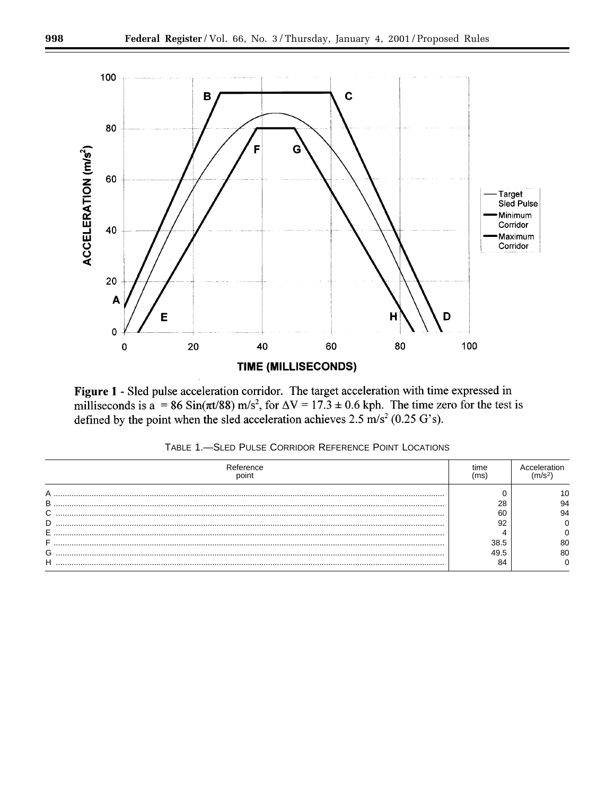

Figure 1 - Sled pulse acceleration corridor. The target acceleration with time expressed in milliseconds is a = 86 Sin( $\pi$ t/88) m/s<sup>2</sup>, for  $\Delta V = 17.3 \pm 0.6$  kph. The time zero for the test is defined by the point when the sled acceleration achieves  $2.5 \text{ m/s}^2 (0.25 \text{ G's})$ .

| TABLE 1.—SLED PULSE CORRIDOR REFERENCE POINT LOCATIONS |  |
|--------------------------------------------------------|--|
|                                                        |  |

| Reference | tıme |    |
|-----------|------|----|
| Α         |      |    |
| В         | 28   | 94 |
| ⌒         | 60   | 94 |
| D         | 92   |    |
| E         |      |    |
|           | 38.5 | 80 |
| ⌒<br>G    | 49.5 | 80 |
| Н         | 84   |    |